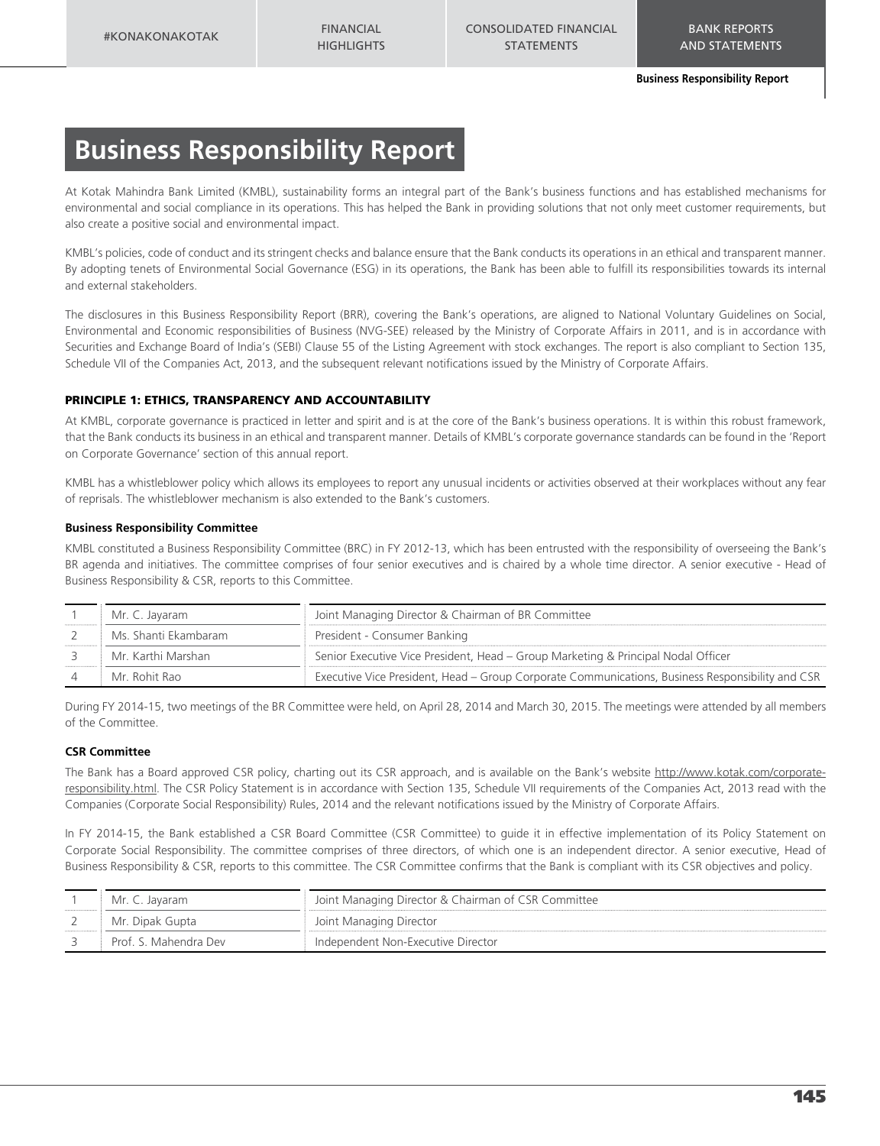# **Business Responsibility Report**

At Kotak Mahindra Bank Limited (KMBL), sustainability forms an integral part of the Bank's business functions and has established mechanisms for environmental and social compliance in its operations. This has helped the Bank in providing solutions that not only meet customer requirements, but also create a positive social and environmental impact.

KMBL's policies, code of conduct and its stringent checks and balance ensure that the Bank conducts its operations in an ethical and transparent manner. By adopting tenets of Environmental Social Governance (ESG) in its operations, the Bank has been able to fulfill its responsibilities towards its internal and external stakeholders.

The disclosures in this Business Responsibility Report (BRR), covering the Bank's operations, are aligned to National Voluntary Guidelines on Social, Environmental and Economic responsibilities of Business (NVG-SEE) released by the Ministry of Corporate Affairs in 2011, and is in accordance with Securities and Exchange Board of India's (SEBI) Clause 55 of the Listing Agreement with stock exchanges. The report is also compliant to Section 135, Schedule VII of the Companies Act, 2013, and the subsequent relevant notifications issued by the Ministry of Corporate Affairs.

# PRINCIPLE 1: ETHICS, TRANSPARENCY AND ACCOUNTABILITY

At KMBL, corporate governance is practiced in letter and spirit and is at the core of the Bank's business operations. It is within this robust framework, that the Bank conducts its business in an ethical and transparent manner. Details of KMBL's corporate governance standards can be found in the 'Report on Corporate Governance' section of this annual report.

KMBL has a whistleblower policy which allows its employees to report any unusual incidents or activities observed at their workplaces without any fear of reprisals. The whistleblower mechanism is also extended to the Bank's customers.

# **Business Responsibility Committee**

KMBL constituted a Business Responsibility Committee (BRC) in FY 2012-13, which has been entrusted with the responsibility of overseeing the Bank's BR agenda and initiatives. The committee comprises of four senior executives and is chaired by a whole time director. A senior executive - Head of Business Responsibility & CSR, reports to this Committee.

| Mr. C. Jayaram       | Joint Managing Director & Chairman of BR Committee                                               |
|----------------------|--------------------------------------------------------------------------------------------------|
| Ms. Shanti Ekambaram | President - Consumer Banking                                                                     |
| Mr. Karthi Marshan   | Senior Executive Vice President, Head - Group Marketing & Principal Nodal Officer                |
| Mr. Rohit Rao        | Executive Vice President, Head – Group Corporate Communications, Business Responsibility and CSR |

During FY 2014-15, two meetings of the BR Committee were held, on April 28, 2014 and March 30, 2015. The meetings were attended by all members of the Committee.

# **CSR Committee**

The Bank has a Board approved CSR policy, charting out its CSR approach, and is available on the Bank's website http://www.kotak.com/corporateresponsibility.html. The CSR Policy Statement is in accordance with Section 135, Schedule VII requirements of the Companies Act, 2013 read with the Companies (Corporate Social Responsibility) Rules, 2014 and the relevant notifications issued by the Ministry of Corporate Affairs.

In FY 2014-15, the Bank established a CSR Board Committee (CSR Committee) to guide it in effective implementation of its Policy Statement on Corporate Social Responsibility. The committee comprises of three directors, of which one is an independent director. A senior executive, Head of Business Responsibility & CSR, reports to this committee. The CSR Committee confirms that the Bank is compliant with its CSR objectives and policy.

| Mr. C. Javaram        | Joint Managing Director & Chairman of CSR Committee |
|-----------------------|-----------------------------------------------------|
| Mr. Dipak Gupta       | Joint Managing Director                             |
| Prof. S. Mahendra Dev | Independent Non-Executive Director                  |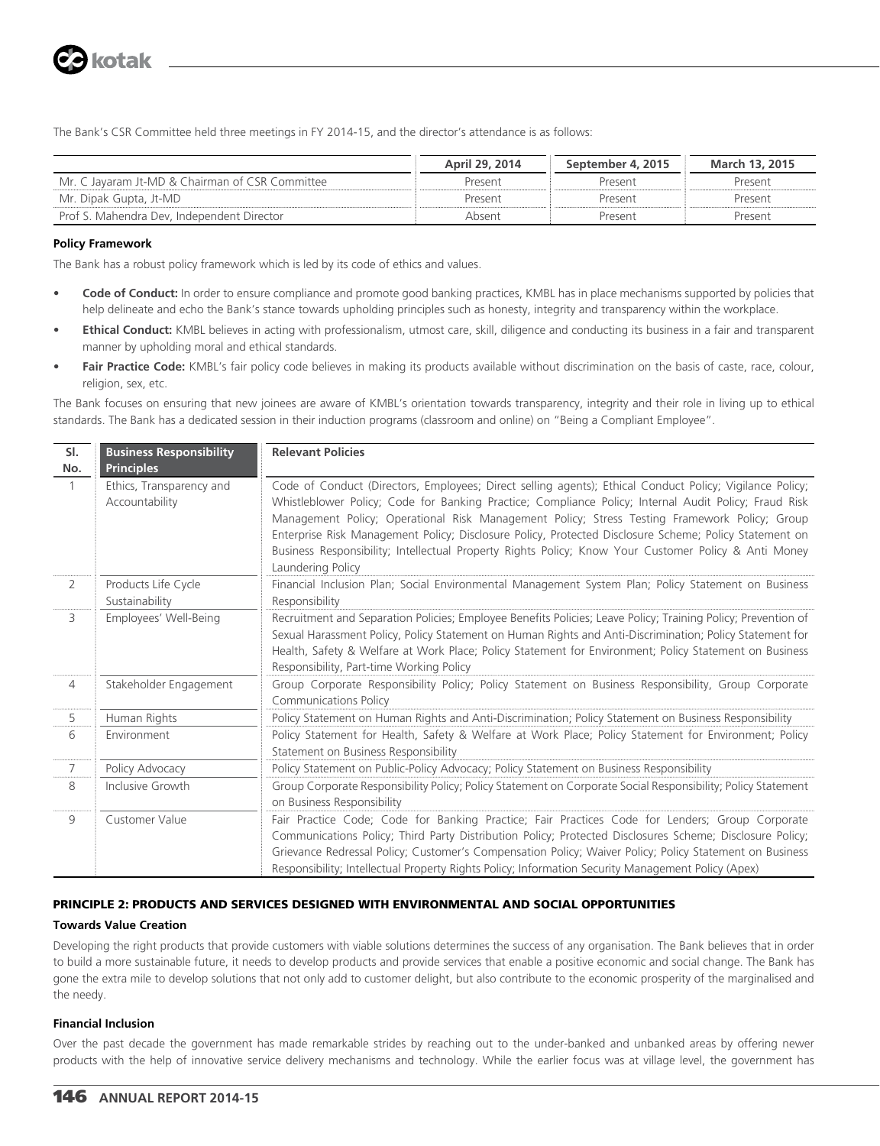

The Bank's CSR Committee held three meetings in FY 2014-15, and the director's attendance is as follows:

|                                                 | April 29, 2014 | September 4, 2015 | March 13, 2015 |
|-------------------------------------------------|----------------|-------------------|----------------|
| Mr. C Jayaram Jt-MD & Chairman of CSR Committee | Present        | Present           | Present        |
| Mr. Dipak Gupta, Jt-MD                          | Present        | Present           | Present        |
| Prof S. Mahendra Dev. Independent Director      | Ahsent         | Present           | Present        |

# **Policy Framework**

The Bank has a robust policy framework which is led by its code of ethics and values.

- **Code of Conduct:** In order to ensure compliance and promote good banking practices, KMBL has in place mechanisms supported by policies that help delineate and echo the Bank's stance towards upholding principles such as honesty, integrity and transparency within the workplace.
- **Ethical Conduct:** KMBL believes in acting with professionalism, utmost care, skill, diligence and conducting its business in a fair and transparent manner by upholding moral and ethical standards.
- **Fair Practice Code:** KMBL's fair policy code believes in making its products available without discrimination on the basis of caste, race, colour, religion, sex, etc.

The Bank focuses on ensuring that new joinees are aware of KMBL's orientation towards transparency, integrity and their role in living up to ethical standards. The Bank has a dedicated session in their induction programs (classroom and online) on "Being a Compliant Employee".

| SI.<br>No.     | <b>Business Responsibility</b><br><b>Principles</b> | <b>Relevant Policies</b>                                                                                                                                                                                                                                                                                                                                                                                                                                                                                                                                  |
|----------------|-----------------------------------------------------|-----------------------------------------------------------------------------------------------------------------------------------------------------------------------------------------------------------------------------------------------------------------------------------------------------------------------------------------------------------------------------------------------------------------------------------------------------------------------------------------------------------------------------------------------------------|
|                | Ethics, Transparency and<br>Accountability          | Code of Conduct (Directors, Employees; Direct selling agents); Ethical Conduct Policy; Vigilance Policy;<br>Whistleblower Policy; Code for Banking Practice; Compliance Policy; Internal Audit Policy; Fraud Risk<br>Management Policy; Operational Risk Management Policy; Stress Testing Framework Policy; Group<br>Enterprise Risk Management Policy; Disclosure Policy, Protected Disclosure Scheme; Policy Statement on<br>Business Responsibility; Intellectual Property Rights Policy; Know Your Customer Policy & Anti Money<br>Laundering Policy |
| $\overline{2}$ | Products Life Cycle<br>Sustainability               | Financial Inclusion Plan; Social Environmental Management System Plan; Policy Statement on Business<br>Responsibility                                                                                                                                                                                                                                                                                                                                                                                                                                     |
| 3              | Employees' Well-Being                               | Recruitment and Separation Policies; Employee Benefits Policies; Leave Policy; Training Policy; Prevention of<br>Sexual Harassment Policy, Policy Statement on Human Rights and Anti-Discrimination; Policy Statement for<br>Health, Safety & Welfare at Work Place; Policy Statement for Environment; Policy Statement on Business<br>Responsibility, Part-time Working Policy                                                                                                                                                                           |
| $\overline{4}$ | Stakeholder Engagement                              | Group Corporate Responsibility Policy; Policy Statement on Business Responsibility, Group Corporate<br><b>Communications Policy</b>                                                                                                                                                                                                                                                                                                                                                                                                                       |
| 5              | Human Rights                                        | Policy Statement on Human Rights and Anti-Discrimination; Policy Statement on Business Responsibility                                                                                                                                                                                                                                                                                                                                                                                                                                                     |
| 6              | Environment                                         | Policy Statement for Health, Safety & Welfare at Work Place; Policy Statement for Environment; Policy<br>Statement on Business Responsibility                                                                                                                                                                                                                                                                                                                                                                                                             |
| 7              | Policy Advocacy                                     | Policy Statement on Public-Policy Advocacy; Policy Statement on Business Responsibility                                                                                                                                                                                                                                                                                                                                                                                                                                                                   |
| 8              | Inclusive Growth                                    | Group Corporate Responsibility Policy; Policy Statement on Corporate Social Responsibility; Policy Statement<br>on Business Responsibility                                                                                                                                                                                                                                                                                                                                                                                                                |
| 9              | Customer Value                                      | Fair Practice Code; Code for Banking Practice; Fair Practices Code for Lenders; Group Corporate<br>Communications Policy; Third Party Distribution Policy; Protected Disclosures Scheme; Disclosure Policy;<br>Grievance Redressal Policy; Customer's Compensation Policy; Waiver Policy; Policy Statement on Business<br>Responsibility; Intellectual Property Rights Policy; Information Security Management Policy (Apex)                                                                                                                              |

# PRINCIPLE 2: PRODUCTS AND SERVICES DESIGNED WITH ENVIRONMENTAL AND SOCIAL OPPORTUNITIES

# **Towards Value Creation**

Developing the right products that provide customers with viable solutions determines the success of any organisation. The Bank believes that in order to build a more sustainable future, it needs to develop products and provide services that enable a positive economic and social change. The Bank has gone the extra mile to develop solutions that not only add to customer delight, but also contribute to the economic prosperity of the marginalised and the needy.

# **Financial Inclusion**

Over the past decade the government has made remarkable strides by reaching out to the under-banked and unbanked areas by offering newer products with the help of innovative service delivery mechanisms and technology. While the earlier focus was at village level, the government has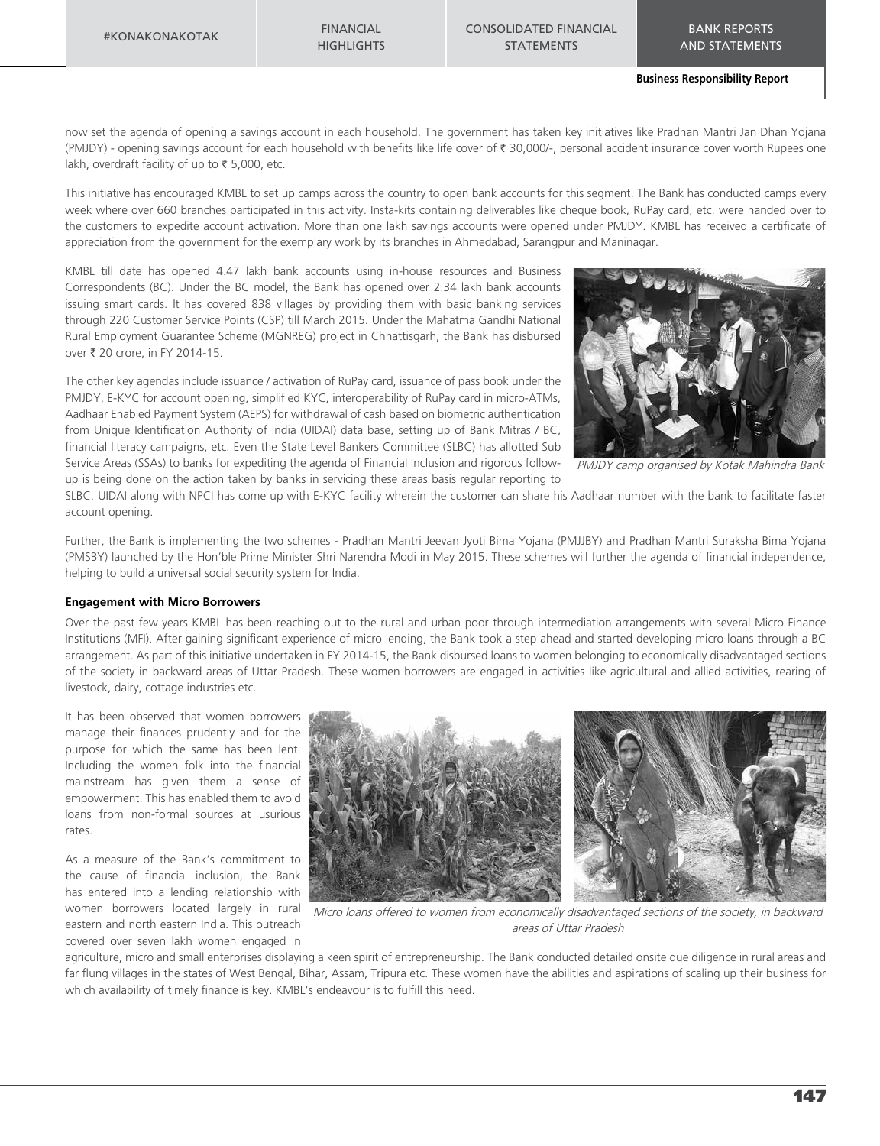# CONSOLIDATED FINANCIAL STATEMENTS

now set the agenda of opening a savings account in each household. The government has taken key initiatives like Pradhan Mantri Jan Dhan Yojana (PMJDY) - opening savings account for each household with benefits like life cover of  $\bar{x}$  30,000/-, personal accident insurance cover worth Rupees one lakh, overdraft facility of up to  $\bar{\tau}$  5,000, etc.

This initiative has encouraged KMBL to set up camps across the country to open bank accounts for this segment. The Bank has conducted camps every week where over 660 branches participated in this activity. Insta-kits containing deliverables like cheque book, RuPay card, etc. were handed over to the customers to expedite account activation. More than one lakh savings accounts were opened under PMJDY. KMBL has received a certificate of appreciation from the government for the exemplary work by its branches in Ahmedabad, Sarangpur and Maninagar.

KMBL till date has opened 4.47 lakh bank accounts using in-house resources and Business Correspondents (BC). Under the BC model, the Bank has opened over 2.34 lakh bank accounts issuing smart cards. It has covered 838 villages by providing them with basic banking services through 220 Customer Service Points (CSP) till March 2015. Under the Mahatma Gandhi National Rural Employment Guarantee Scheme (MGNREG) project in Chhattisgarh, the Bank has disbursed over ₹ 20 crore, in FY 2014-15.

The other key agendas include issuance / activation of RuPay card, issuance of pass book under the PMJDY, E-KYC for account opening, simplified KYC, interoperability of RuPay card in micro-ATMs, Aadhaar Enabled Payment System (AEPS) for withdrawal of cash based on biometric authentication from Unique Identification Authority of India (UIDAI) data base, setting up of Bank Mitras / BC, financial literacy campaigns, etc. Even the State Level Bankers Committee (SLBC) has allotted Sub Service Areas (SSAs) to banks for expediting the agenda of Financial Inclusion and rigorous followup is being done on the action taken by banks in servicing these areas basis regular reporting to



PMJDY camp organised by Kotak Mahindra Bank

SLBC. UIDAI along with NPCI has come up with E-KYC facility wherein the customer can share his Aadhaar number with the bank to facilitate faster account opening.

Further, the Bank is implementing the two schemes - Pradhan Mantri Jeevan Jyoti Bima Yojana (PMJJBY) and Pradhan Mantri Suraksha Bima Yojana (PMSBY) launched by the Hon'ble Prime Minister Shri Narendra Modi in May 2015. These schemes will further the agenda of financial independence, helping to build a universal social security system for India.

#### **Engagement with Micro Borrowers**

Over the past few years KMBL has been reaching out to the rural and urban poor through intermediation arrangements with several Micro Finance Institutions (MFI). After gaining significant experience of micro lending, the Bank took a step ahead and started developing micro loans through a BC arrangement. As part of this initiative undertaken in FY 2014-15, the Bank disbursed loans to women belonging to economically disadvantaged sections of the society in backward areas of Uttar Pradesh. These women borrowers are engaged in activities like agricultural and allied activities, rearing of livestock, dairy, cottage industries etc.

It has been observed that women borrowers manage their finances prudently and for the purpose for which the same has been lent. Including the women folk into the financial mainstream has given them a sense of empowerment. This has enabled them to avoid loans from non-formal sources at usurious rates.

As a measure of the Bank's commitment to the cause of financial inclusion, the Bank has entered into a lending relationship with eastern and north eastern India. This outreach covered over seven lakh women engaged in



women borrowers located largely in rural Micro loans offered to women from economically disadvantaged sections of the society, in backward areas of Uttar Pradesh

agriculture, micro and small enterprises displaying a keen spirit of entrepreneurship. The Bank conducted detailed onsite due diligence in rural areas and far flung villages in the states of West Bengal, Bihar, Assam, Tripura etc. These women have the abilities and aspirations of scaling up their business for which availability of timely finance is key. KMBL's endeavour is to fulfill this need.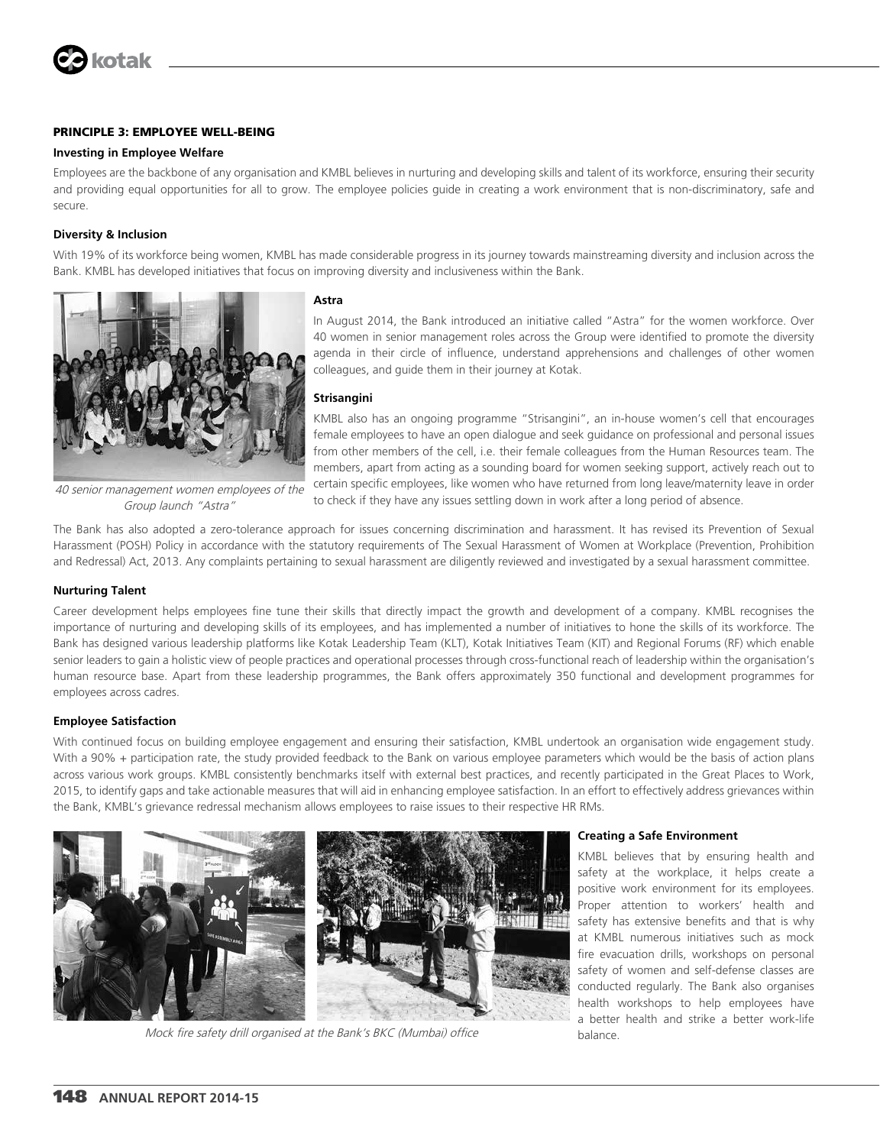# PRINCIPLE 3: EMPLOYEE WELL-BEING

# **Investing in Employee Welfare**

Employees are the backbone of any organisation and KMBL believes in nurturing and developing skills and talent of its workforce, ensuring their security and providing equal opportunities for all to grow. The employee policies guide in creating a work environment that is non-discriminatory, safe and secure.

# **Diversity & Inclusion**

With 19% of its workforce being women, KMBL has made considerable progress in its journey towards mainstreaming diversity and inclusion across the Bank. KMBL has developed initiatives that focus on improving diversity and inclusiveness within the Bank.



#### **Astra**

In August 2014, the Bank introduced an initiative called "Astra" for the women workforce. Over 40 women in senior management roles across the Group were identified to promote the diversity agenda in their circle of influence, understand apprehensions and challenges of other women colleagues, and guide them in their journey at Kotak.

# **Strisangini**

KMBL also has an ongoing programme "Strisangini", an in-house women's cell that encourages female employees to have an open dialogue and seek guidance on professional and personal issues from other members of the cell, i.e. their female colleagues from the Human Resources team. The members, apart from acting as a sounding board for women seeking support, actively reach out to certain specific employees, like women who have returned from long leave/maternity leave in order to check if they have any issues settling down in work after a long period of absence.

40 senior management women employees of the Group launch "Astra"

The Bank has also adopted a zero-tolerance approach for issues concerning discrimination and harassment. It has revised its Prevention of Sexual Harassment (POSH) Policy in accordance with the statutory requirements of The Sexual Harassment of Women at Workplace (Prevention, Prohibition and Redressal) Act, 2013. Any complaints pertaining to sexual harassment are diligently reviewed and investigated by a sexual harassment committee.

#### **Nurturing Talent**

Career development helps employees fine tune their skills that directly impact the growth and development of a company. KMBL recognises the importance of nurturing and developing skills of its employees, and has implemented a number of initiatives to hone the skills of its workforce. The Bank has designed various leadership platforms like Kotak Leadership Team (KLT), Kotak Initiatives Team (KIT) and Regional Forums (RF) which enable senior leaders to gain a holistic view of people practices and operational processes through cross-functional reach of leadership within the organisation's human resource base. Apart from these leadership programmes, the Bank offers approximately 350 functional and development programmes for employees across cadres.

#### **Employee Satisfaction**

With continued focus on building employee engagement and ensuring their satisfaction, KMBL undertook an organisation wide engagement study. With a 90% + participation rate, the study provided feedback to the Bank on various employee parameters which would be the basis of action plans across various work groups. KMBL consistently benchmarks itself with external best practices, and recently participated in the Great Places to Work, 2015, to identify gaps and take actionable measures that will aid in enhancing employee satisfaction. In an effort to effectively address grievances within the Bank, KMBL's grievance redressal mechanism allows employees to raise issues to their respective HR RMs.



Mock fire safety drill organised at the Bank's BKC (Mumbai) office

#### **Creating a Safe Environment**

KMBL believes that by ensuring health and safety at the workplace, it helps create a positive work environment for its employees. Proper attention to workers' health and safety has extensive benefits and that is why at KMBL numerous initiatives such as mock fire evacuation drills, workshops on personal safety of women and self-defense classes are conducted regularly. The Bank also organises health workshops to help employees have a better health and strike a better work-life balance.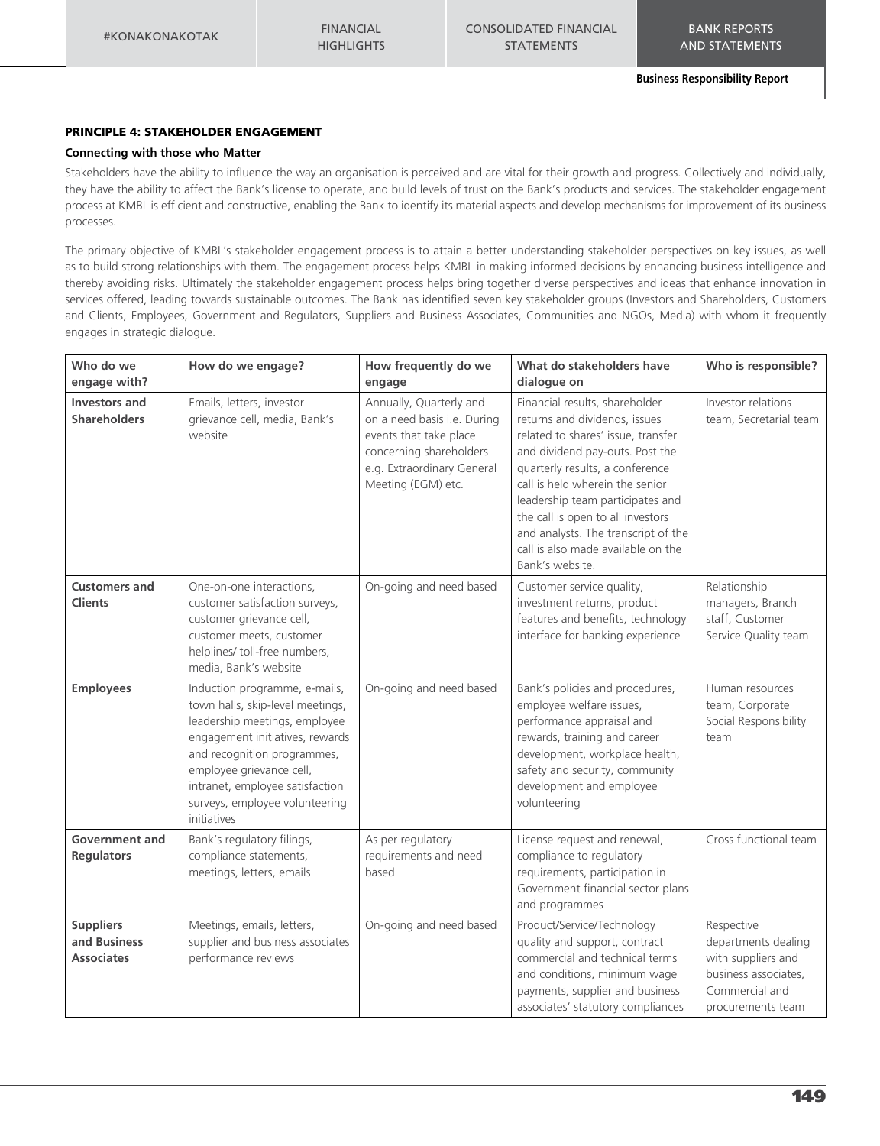# PRINCIPLE 4: STAKEHOLDER ENGAGEMENT

## **Connecting with those who Matter**

Stakeholders have the ability to influence the way an organisation is perceived and are vital for their growth and progress. Collectively and individually, they have the ability to affect the Bank's license to operate, and build levels of trust on the Bank's products and services. The stakeholder engagement process at KMBL is efficient and constructive, enabling the Bank to identify its material aspects and develop mechanisms for improvement of its business processes.

The primary objective of KMBL's stakeholder engagement process is to attain a better understanding stakeholder perspectives on key issues, as well as to build strong relationships with them. The engagement process helps KMBL in making informed decisions by enhancing business intelligence and thereby avoiding risks. Ultimately the stakeholder engagement process helps bring together diverse perspectives and ideas that enhance innovation in services offered, leading towards sustainable outcomes. The Bank has identified seven key stakeholder groups (Investors and Shareholders, Customers and Clients, Employees, Government and Regulators, Suppliers and Business Associates, Communities and NGOs, Media) with whom it frequently engages in strategic dialogue.

| Who do we                                             | How do we engage?                                                                                                                                                                                                                                                                    | How frequently do we                                                                                                                                            | What do stakeholders have                                                                                                                                                                                                                                                                                                                                                               | Who is responsible?                                                                                                    |
|-------------------------------------------------------|--------------------------------------------------------------------------------------------------------------------------------------------------------------------------------------------------------------------------------------------------------------------------------------|-----------------------------------------------------------------------------------------------------------------------------------------------------------------|-----------------------------------------------------------------------------------------------------------------------------------------------------------------------------------------------------------------------------------------------------------------------------------------------------------------------------------------------------------------------------------------|------------------------------------------------------------------------------------------------------------------------|
| engage with?                                          |                                                                                                                                                                                                                                                                                      | engage                                                                                                                                                          | dialogue on                                                                                                                                                                                                                                                                                                                                                                             |                                                                                                                        |
| <b>Investors and</b><br><b>Shareholders</b>           | Emails, letters, investor<br>grievance cell, media, Bank's<br>website                                                                                                                                                                                                                | Annually, Quarterly and<br>on a need basis i.e. During<br>events that take place<br>concerning shareholders<br>e.g. Extraordinary General<br>Meeting (EGM) etc. | Financial results, shareholder<br>returns and dividends, issues<br>related to shares' issue, transfer<br>and dividend pay-outs. Post the<br>quarterly results, a conference<br>call is held wherein the senior<br>leadership team participates and<br>the call is open to all investors<br>and analysts. The transcript of the<br>call is also made available on the<br>Bank's website. | Investor relations<br>team, Secretarial team                                                                           |
| <b>Customers and</b><br><b>Clients</b>                | One-on-one interactions,<br>customer satisfaction surveys,<br>customer grievance cell,<br>customer meets, customer<br>helplines/ toll-free numbers,<br>media, Bank's website                                                                                                         | On-going and need based                                                                                                                                         | Customer service quality,<br>investment returns, product<br>features and benefits, technology<br>interface for banking experience                                                                                                                                                                                                                                                       | Relationship<br>managers, Branch<br>staff, Customer<br>Service Quality team                                            |
| <b>Employees</b>                                      | Induction programme, e-mails,<br>town halls, skip-level meetings,<br>leadership meetings, employee<br>engagement initiatives, rewards<br>and recognition programmes,<br>employee grievance cell,<br>intranet, employee satisfaction<br>surveys, employee volunteering<br>initiatives | On-going and need based                                                                                                                                         | Bank's policies and procedures,<br>employee welfare issues,<br>performance appraisal and<br>rewards, training and career<br>development, workplace health,<br>safety and security, community<br>development and employee<br>volunteering                                                                                                                                                | Human resources<br>team, Corporate<br>Social Responsibility<br>team                                                    |
| <b>Government and</b><br><b>Regulators</b>            | Bank's regulatory filings,<br>compliance statements,<br>meetings, letters, emails                                                                                                                                                                                                    | As per regulatory<br>requirements and need<br>based                                                                                                             | License request and renewal,<br>compliance to regulatory<br>requirements, participation in<br>Government financial sector plans<br>and programmes                                                                                                                                                                                                                                       | Cross functional team                                                                                                  |
| <b>Suppliers</b><br>and Business<br><b>Associates</b> | Meetings, emails, letters,<br>supplier and business associates<br>performance reviews                                                                                                                                                                                                | On-going and need based                                                                                                                                         | Product/Service/Technology<br>quality and support, contract<br>commercial and technical terms<br>and conditions, minimum wage<br>payments, supplier and business<br>associates' statutory compliances                                                                                                                                                                                   | Respective<br>departments dealing<br>with suppliers and<br>business associates,<br>Commercial and<br>procurements team |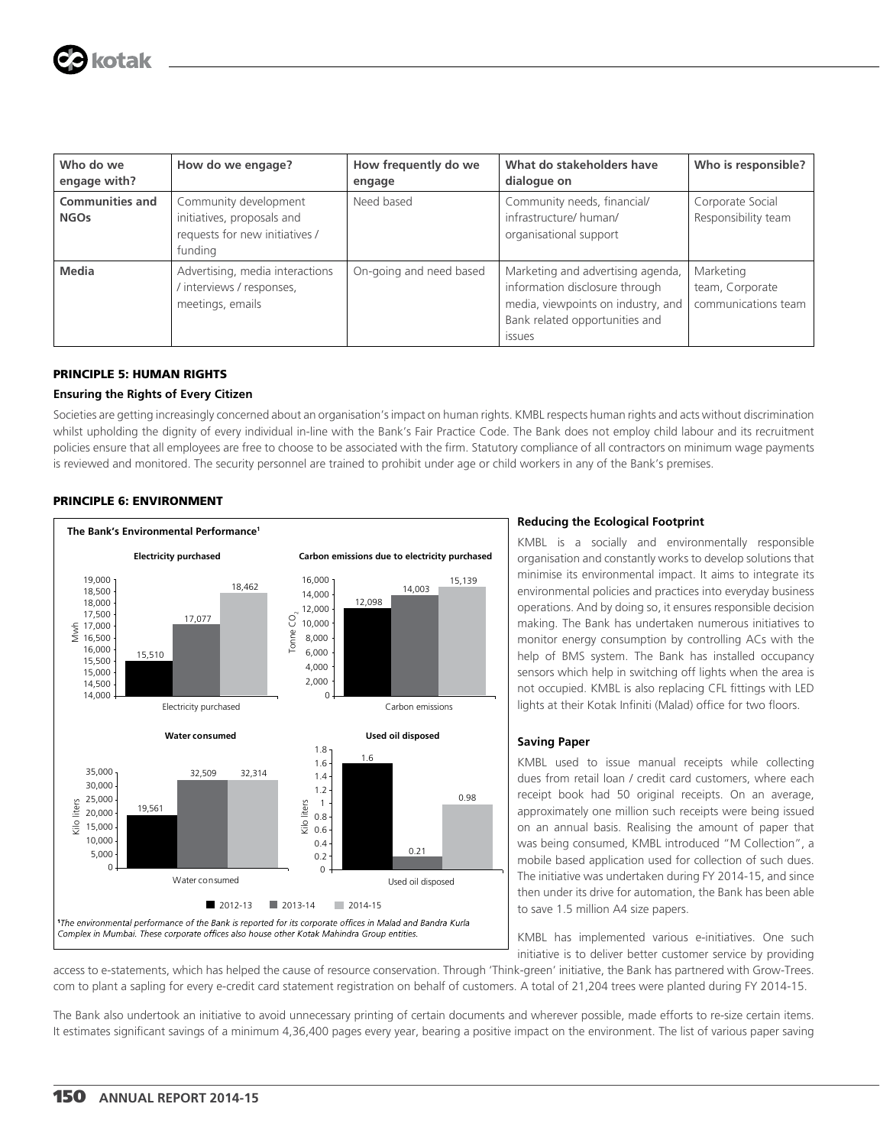| Who do we<br>engage with?             | How do we engage?                                                                                | How frequently do we<br>engage | What do stakeholders have<br>dialogue on                                                                                                              | Who is responsible?                                 |
|---------------------------------------|--------------------------------------------------------------------------------------------------|--------------------------------|-------------------------------------------------------------------------------------------------------------------------------------------------------|-----------------------------------------------------|
| <b>Communities and</b><br><b>NGOs</b> | Community development<br>initiatives, proposals and<br>requests for new initiatives /<br>funding | Need based                     | Community needs, financial/<br>infrastructure/ human/<br>organisational support                                                                       | Corporate Social<br>Responsibility team             |
| Media                                 | Advertising, media interactions<br>/ interviews / responses,<br>meetings, emails                 | On-going and need based        | Marketing and advertising agenda,<br>information disclosure through<br>media, viewpoints on industry, and<br>Bank related opportunities and<br>issues | Marketing<br>team, Corporate<br>communications team |

# PRINCIPLE 5: HUMAN RIGHTS

# **Ensuring the Rights of Every Citizen**

Societies are getting increasingly concerned about an organisation's impact on human rights. KMBL respects human rights and acts without discrimination whilst upholding the dignity of every individual in-line with the Bank's Fair Practice Code. The Bank does not employ child labour and its recruitment policies ensure that all employees are free to choose to be associated with the firm. Statutory compliance of all contractors on minimum wage payments is reviewed and monitored. The security personnel are trained to prohibit under age or child workers in any of the Bank's premises.





KMBL is a socially and environmentally responsible organisation and constantly works to develop solutions that minimise its environmental impact. It aims to integrate its environmental policies and practices into everyday business operations. And by doing so, it ensures responsible decision making. The Bank has undertaken numerous initiatives to monitor energy consumption by controlling ACs with the help of BMS system. The Bank has installed occupancy sensors which help in switching off lights when the area is not occupied. KMBL is also replacing CFL fittings with LED lights at their Kotak Infiniti (Malad) office for two floors.

# **Saving Paper**

KMBL used to issue manual receipts while collecting dues from retail loan / credit card customers, where each receipt book had 50 original receipts. On an average, approximately one million such receipts were being issued on an annual basis. Realising the amount of paper that was being consumed, KMBL introduced "M Collection", a mobile based application used for collection of such dues. The initiative was undertaken during FY 2014-15, and since then under its drive for automation, the Bank has been able to save 1.5 million A4 size papers.

KMBL has implemented various e-initiatives. One such initiative is to deliver better customer service by providing

access to e-statements, which has helped the cause of resource conservation. Through 'Think-green' initiative, the Bank has partnered with Grow-Trees. com to plant a sapling for every e-credit card statement registration on behalf of customers. A total of 21,204 trees were planted during FY 2014-15.

The Bank also undertook an initiative to avoid unnecessary printing of certain documents and wherever possible, made efforts to re-size certain items. It estimates significant savings of a minimum 4,36,400 pages every year, bearing a positive impact on the environment. The list of various paper saving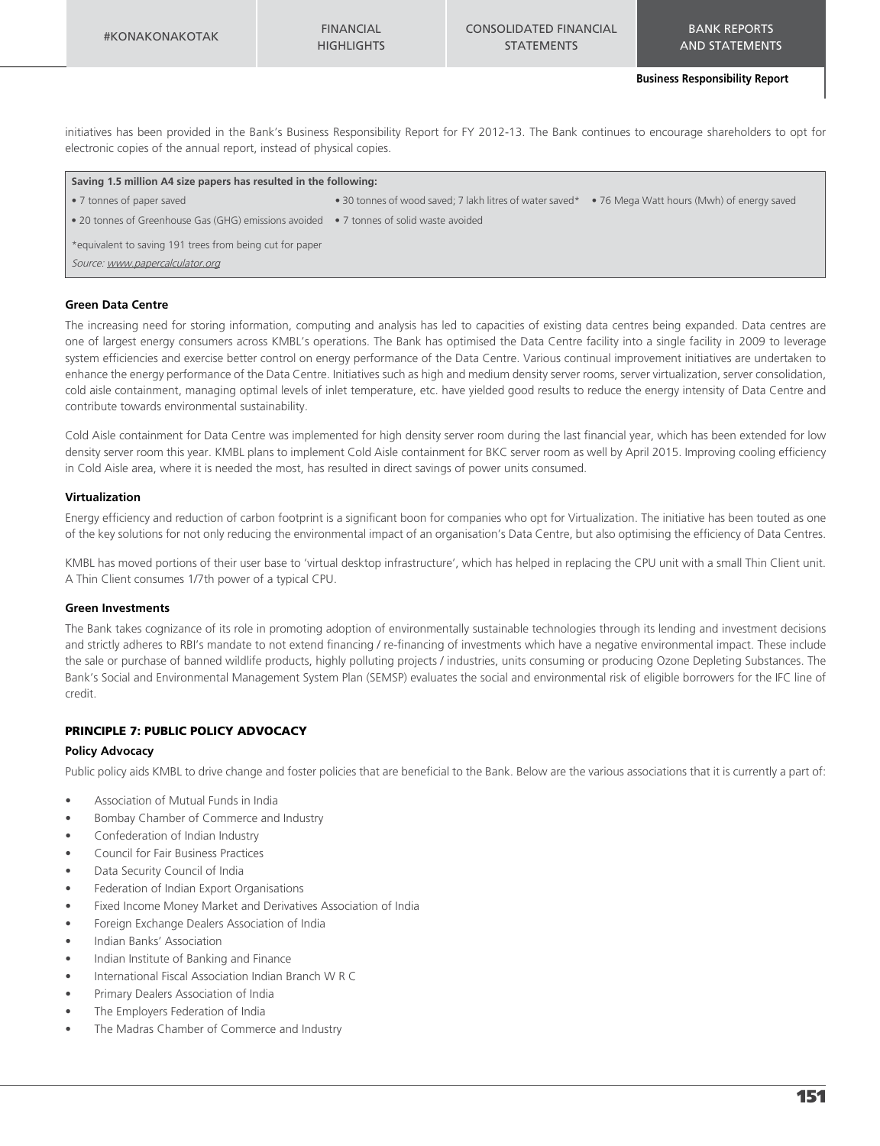#KONAKONAKOTAK FINANCIAL **HIGHLIGHTS** 

**Business Responsibility Report**

initiatives has been provided in the Bank's Business Responsibility Report for FY 2012-13. The Bank continues to encourage shareholders to opt for electronic copies of the annual report, instead of physical copies.

#### **Saving 1.5 million A4 size papers has resulted in the following:**

• 7 tonnes of paper saved • 30 tonnes of wood saved; 7 lakh litres of water saved\* • 76 Mega Watt hours (Mwh) of energy saved

• 20 tonnes of Greenhouse Gas (GHG) emissions avoided • 7 tonnes of solid waste avoided

\*equivalent to saving 191 trees from being cut for paper

Source: www.papercalculator.org

#### **Green Data Centre**

The increasing need for storing information, computing and analysis has led to capacities of existing data centres being expanded. Data centres are one of largest energy consumers across KMBL's operations. The Bank has optimised the Data Centre facility into a single facility in 2009 to leverage system efficiencies and exercise better control on energy performance of the Data Centre. Various continual improvement initiatives are undertaken to enhance the energy performance of the Data Centre. Initiatives such as high and medium density server rooms, server virtualization, server consolidation, cold aisle containment, managing optimal levels of inlet temperature, etc. have yielded good results to reduce the energy intensity of Data Centre and contribute towards environmental sustainability.

Cold Aisle containment for Data Centre was implemented for high density server room during the last financial year, which has been extended for low density server room this year. KMBL plans to implement Cold Aisle containment for BKC server room as well by April 2015. Improving cooling efficiency in Cold Aisle area, where it is needed the most, has resulted in direct savings of power units consumed.

## **Virtualization**

Energy efficiency and reduction of carbon footprint is a significant boon for companies who opt for Virtualization. The initiative has been touted as one of the key solutions for not only reducing the environmental impact of an organisation's Data Centre, but also optimising the efficiency of Data Centres.

KMBL has moved portions of their user base to 'virtual desktop infrastructure', which has helped in replacing the CPU unit with a small Thin Client unit. A Thin Client consumes 1/7th power of a typical CPU.

## **Green Investments**

The Bank takes cognizance of its role in promoting adoption of environmentally sustainable technologies through its lending and investment decisions and strictly adheres to RBI's mandate to not extend financing / re-financing of investments which have a negative environmental impact. These include the sale or purchase of banned wildlife products, highly polluting projects / industries, units consuming or producing Ozone Depleting Substances. The Bank's Social and Environmental Management System Plan (SEMSP) evaluates the social and environmental risk of eligible borrowers for the IFC line of credit.

# PRINCIPLE 7: PUBLIC POLICY ADVOCACY

# **Policy Advocacy**

Public policy aids KMBL to drive change and foster policies that are beneficial to the Bank. Below are the various associations that it is currently a part of:

- Association of Mutual Funds in India
- Bombay Chamber of Commerce and Industry
- Confederation of Indian Industry
- Council for Fair Business Practices
- Data Security Council of India
- Federation of Indian Export Organisations
- Fixed Income Money Market and Derivatives Association of India
- Foreign Exchange Dealers Association of India
- Indian Banks' Association
- Indian Institute of Banking and Finance
- International Fiscal Association Indian Branch W R C
- Primary Dealers Association of India
- The Employers Federation of India
- The Madras Chamber of Commerce and Industry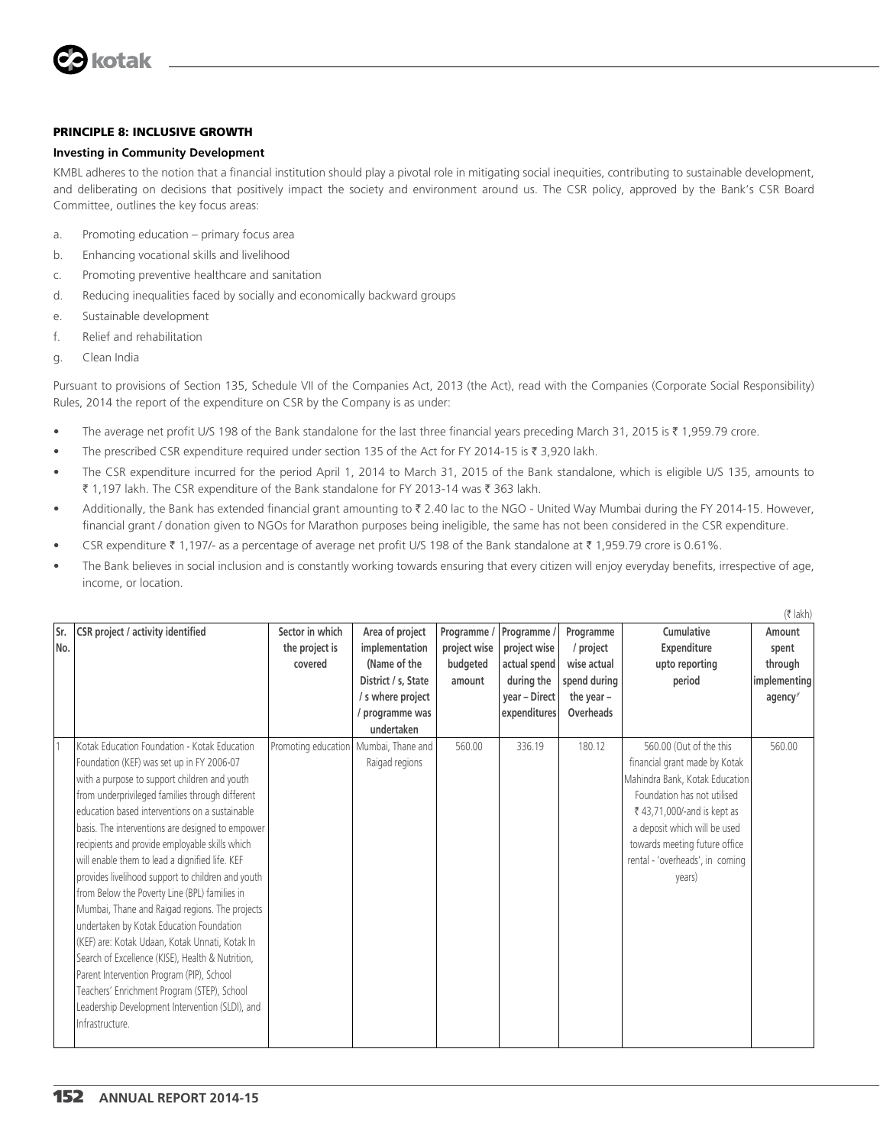# PRINCIPLE 8: INCLUSIVE GROWTH

# **Investing in Community Development**

KMBL adheres to the notion that a financial institution should play a pivotal role in mitigating social inequities, contributing to sustainable development, and deliberating on decisions that positively impact the society and environment around us. The CSR policy, approved by the Bank's CSR Board Committee, outlines the key focus areas:

- a. Promoting education primary focus area
- b. Enhancing vocational skills and livelihood
- c. Promoting preventive healthcare and sanitation
- d. Reducing inequalities faced by socially and economically backward groups
- e. Sustainable development
- f. Relief and rehabilitation
- g. Clean India

Pursuant to provisions of Section 135, Schedule VII of the Companies Act, 2013 (the Act), read with the Companies (Corporate Social Responsibility) Rules, 2014 the report of the expenditure on CSR by the Company is as under:

- The average net profit U/S 198 of the Bank standalone for the last three financial years preceding March 31, 2015 is ₹ 1,959.79 crore.
- The prescribed CSR expenditure required under section 135 of the Act for FY 2014-15 is  $\bar{\tau}$  3,920 lakh.
- The CSR expenditure incurred for the period April 1, 2014 to March 31, 2015 of the Bank standalone, which is eligible U/S 135, amounts to ₹ 1,197 lakh. The CSR expenditure of the Bank standalone for FY 2013-14 was ₹ 363 lakh.
- Additionally, the Bank has extended financial grant amounting to  $\bar{\tau}$  2.40 lac to the NGO United Way Mumbai during the FY 2014-15. However, financial grant / donation given to NGOs for Marathon purposes being ineligible, the same has not been considered in the CSR expenditure.
- CSR expenditure  $\bar{\tau}$  1,197/- as a percentage of average net profit U/S 198 of the Bank standalone at  $\bar{\tau}$  1,959.79 crore is 0.61%.
- The Bank believes in social inclusion and is constantly working towards ensuring that every citizen will enjoy everyday benefits, irrespective of age, income, or location.

|     |                                                   |                                         |                     |              |               |              |                                 | $(7 \text{ lakh})$  |
|-----|---------------------------------------------------|-----------------------------------------|---------------------|--------------|---------------|--------------|---------------------------------|---------------------|
| Sr. | CSR project / activity identified                 | Sector in which                         | Area of project     | Programme /  | Programme /   | Programme    | Cumulative                      | Amount              |
| No. |                                                   | the project is                          | implementation      | project wise | project wise  | / project    | Expenditure                     | spent               |
|     |                                                   | covered                                 | (Name of the        | budgeted     | actual spend  | wise actual  | upto reporting                  | through             |
|     |                                                   |                                         | District / s. State | amount       | during the    | spend during | period                          | implementing        |
|     |                                                   |                                         | / s where project   |              | year - Direct | the year $-$ |                                 | agency <sup>#</sup> |
|     |                                                   |                                         | / programme was     |              | expenditures  | Overheads    |                                 |                     |
|     |                                                   |                                         | undertaken          |              |               |              |                                 |                     |
|     | Kotak Education Foundation - Kotak Education      | Promoting education   Mumbai, Thane and |                     | 560.00       | 336.19        | 180.12       | 560.00 (Out of the this         | 560.00              |
|     | Foundation (KEF) was set up in FY 2006-07         |                                         | Raigad regions      |              |               |              | financial grant made by Kotak   |                     |
|     | with a purpose to support children and youth      |                                         |                     |              |               |              | Mahindra Bank, Kotak Education  |                     |
|     | from underprivileged families through different   |                                         |                     |              |               |              | Foundation has not utilised     |                     |
|     | education based interventions on a sustainable    |                                         |                     |              |               |              | ₹ 43,71,000/-and is kept as     |                     |
|     | basis. The interventions are designed to empower  |                                         |                     |              |               |              | a deposit which will be used    |                     |
|     | recipients and provide employable skills which    |                                         |                     |              |               |              | towards meeting future office   |                     |
|     | will enable them to lead a dignified life. KEF    |                                         |                     |              |               |              | rental - 'overheads', in coming |                     |
|     | provides livelihood support to children and youth |                                         |                     |              |               |              | years)                          |                     |
|     | from Below the Poverty Line (BPL) families in     |                                         |                     |              |               |              |                                 |                     |
|     | Mumbai, Thane and Raigad regions. The projects    |                                         |                     |              |               |              |                                 |                     |
|     | undertaken by Kotak Education Foundation          |                                         |                     |              |               |              |                                 |                     |
|     | (KEF) are: Kotak Udaan, Kotak Unnati, Kotak In    |                                         |                     |              |               |              |                                 |                     |
|     | Search of Excellence (KISE), Health & Nutrition,  |                                         |                     |              |               |              |                                 |                     |
|     | Parent Intervention Program (PIP), School         |                                         |                     |              |               |              |                                 |                     |
|     | Teachers' Enrichment Program (STEP), School       |                                         |                     |              |               |              |                                 |                     |
|     | Leadership Development Intervention (SLDI), and   |                                         |                     |              |               |              |                                 |                     |
|     | Infrastructure.                                   |                                         |                     |              |               |              |                                 |                     |
|     |                                                   |                                         |                     |              |               |              |                                 |                     |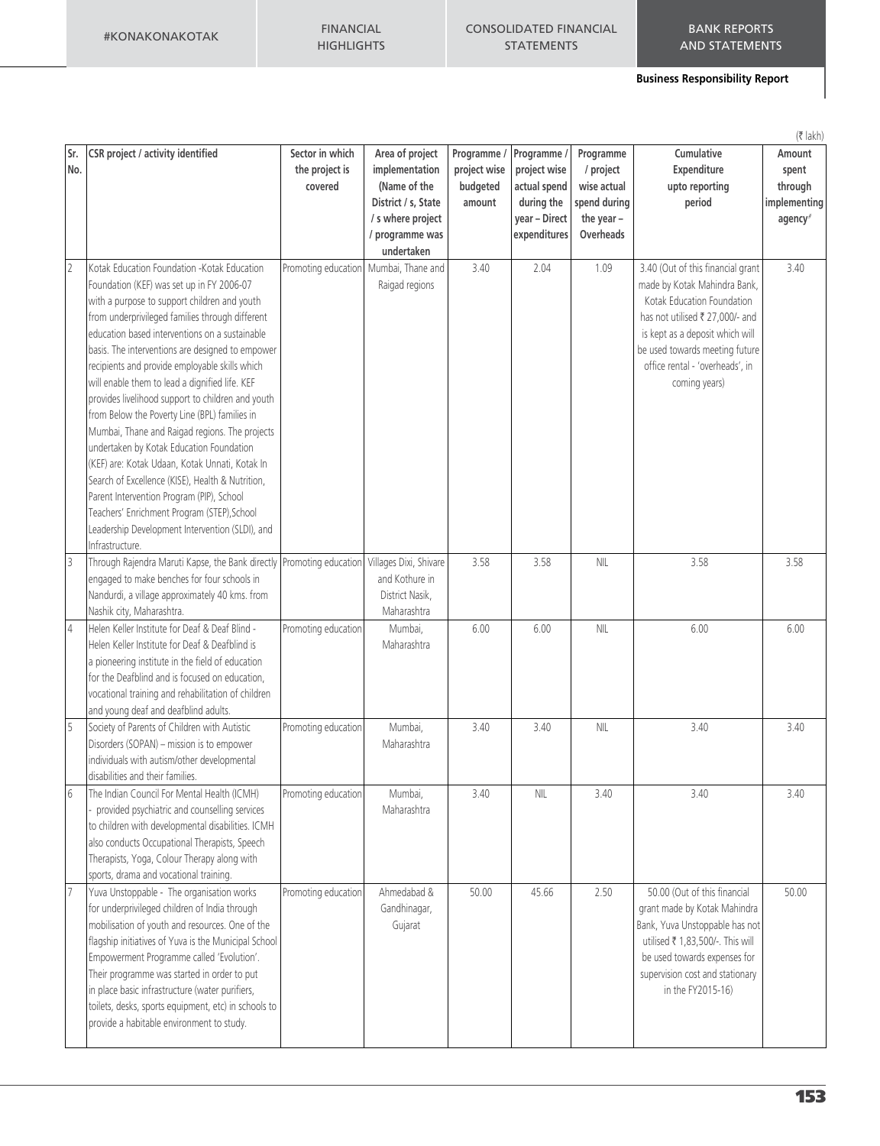# CONSOLIDATED FINANCIAL STATEMENTS

**Business Responsibility Report**

|            |                                                                                                                                                                                                                                                                                                                                                                                                                                                                                                                                                                                                                                                                                                                                                                                                                                                                                   |                                              |                                                                                                                                |                                                   |                                                                                          |                                                                                 |                                                                                                                                                                                                                                                             | $(7$ lakh)                                                        |
|------------|-----------------------------------------------------------------------------------------------------------------------------------------------------------------------------------------------------------------------------------------------------------------------------------------------------------------------------------------------------------------------------------------------------------------------------------------------------------------------------------------------------------------------------------------------------------------------------------------------------------------------------------------------------------------------------------------------------------------------------------------------------------------------------------------------------------------------------------------------------------------------------------|----------------------------------------------|--------------------------------------------------------------------------------------------------------------------------------|---------------------------------------------------|------------------------------------------------------------------------------------------|---------------------------------------------------------------------------------|-------------------------------------------------------------------------------------------------------------------------------------------------------------------------------------------------------------------------------------------------------------|-------------------------------------------------------------------|
| Sr.<br>No. | CSR project / activity identified                                                                                                                                                                                                                                                                                                                                                                                                                                                                                                                                                                                                                                                                                                                                                                                                                                                 | Sector in which<br>the project is<br>covered | Area of project<br>implementation<br>(Name of the<br>District / s, State<br>/ s where project<br>/ programme was<br>undertaken | Programme /<br>project wise<br>budgeted<br>amount | Programme<br>project wise<br>actual spend<br>during the<br>year - Direct<br>expenditures | Programme<br>/ project<br>wise actual<br>spend during<br>the year-<br>Overheads | Cumulative<br>Expenditure<br>upto reporting<br>period                                                                                                                                                                                                       | Amount<br>spent<br>through<br>implementing<br>agency <sup>#</sup> |
| l2         | Kotak Education Foundation -Kotak Education<br>Foundation (KEF) was set up in FY 2006-07<br>with a purpose to support children and youth<br>from underprivileged families through different<br>education based interventions on a sustainable<br>basis. The interventions are designed to empower<br>recipients and provide employable skills which<br>will enable them to lead a dignified life. KEF<br>provides livelihood support to children and youth<br>from Below the Poverty Line (BPL) families in<br>Mumbai, Thane and Raigad regions. The projects<br>undertaken by Kotak Education Foundation<br>(KEF) are: Kotak Udaan, Kotak Unnati, Kotak In<br>Search of Excellence (KISE), Health & Nutrition,<br>Parent Intervention Program (PIP), School<br>Teachers' Enrichment Program (STEP), School<br>Leadership Development Intervention (SLDI), and<br>Infrastructure. | Promoting education Mumbai, Thane and        | Raigad regions                                                                                                                 | 3.40                                              | 2.04                                                                                     | 1.09                                                                            | 3.40 (Out of this financial grant<br>made by Kotak Mahindra Bank,<br>Kotak Education Foundation<br>has not utilised ₹ 27,000/- and<br>is kept as a deposit which will<br>be used towards meeting future<br>office rental - 'overheads', in<br>coming years) | 3.40                                                              |
| l3         | Through Rajendra Maruti Kapse, the Bank directly<br>engaged to make benches for four schools in<br>Nandurdi, a village approximately 40 kms. from<br>Nashik city, Maharashtra.                                                                                                                                                                                                                                                                                                                                                                                                                                                                                                                                                                                                                                                                                                    | Promoting education                          | Villages Dixi, Shivare<br>and Kothure in<br>District Nasik.<br>Maharashtra                                                     | 3.58                                              | 3.58                                                                                     | <b>NIL</b>                                                                      | 3.58                                                                                                                                                                                                                                                        | 3.58                                                              |
| l4         | Helen Keller Institute for Deaf & Deaf Blind -<br>Helen Keller Institute for Deaf & Deafblind is<br>a pioneering institute in the field of education<br>for the Deafblind and is focused on education,<br>vocational training and rehabilitation of children<br>and young deaf and deafblind adults.                                                                                                                                                                                                                                                                                                                                                                                                                                                                                                                                                                              | Promoting education                          | Mumbai,<br>Maharashtra                                                                                                         | 6.00                                              | 6.00                                                                                     | <b>NIL</b>                                                                      | 6.00                                                                                                                                                                                                                                                        | 6.00                                                              |
| İ5         | Society of Parents of Children with Autistic<br>Disorders (SOPAN) - mission is to empower<br>individuals with autism/other developmental<br>disabilities and their families.                                                                                                                                                                                                                                                                                                                                                                                                                                                                                                                                                                                                                                                                                                      | Promoting education                          | Mumbai,<br>Maharashtra                                                                                                         | 3.40                                              | 3.40                                                                                     | <b>NIL</b>                                                                      | 3.40                                                                                                                                                                                                                                                        | 3.40                                                              |
|            | The Indian Council For Mental Health (ICMH)<br>provided psychiatric and counselling services<br>to children with developmental disabilities. ICMH<br>also conducts Occupational Therapists, Speech<br>Therapists, Yoga, Colour Therapy along with<br>sports, drama and vocational training.                                                                                                                                                                                                                                                                                                                                                                                                                                                                                                                                                                                       | Promoting education                          | Mumbai,<br>Maharashtra                                                                                                         | 3.40                                              | NIL                                                                                      | 3.40                                                                            | 3.40                                                                                                                                                                                                                                                        | 3.40                                                              |
|            | Yuva Unstoppable - The organisation works<br>for underprivileged children of India through<br>mobilisation of youth and resources. One of the<br>flagship initiatives of Yuva is the Municipal School<br>Empowerment Programme called 'Evolution'.<br>Their programme was started in order to put<br>in place basic infrastructure (water purifiers,<br>toilets, desks, sports equipment, etc) in schools to<br>provide a habitable environment to study.                                                                                                                                                                                                                                                                                                                                                                                                                         | Promoting education                          | Ahmedabad &<br>Gandhinagar,<br>Gujarat                                                                                         | 50.00                                             | 45.66                                                                                    | 2.50                                                                            | 50.00 (Out of this financial<br>grant made by Kotak Mahindra<br>Bank, Yuva Unstoppable has not<br>utilised ₹ 1,83,500/-. This will<br>be used towards expenses for<br>supervision cost and stationary<br>in the FY2015-16)                                  | 50.00                                                             |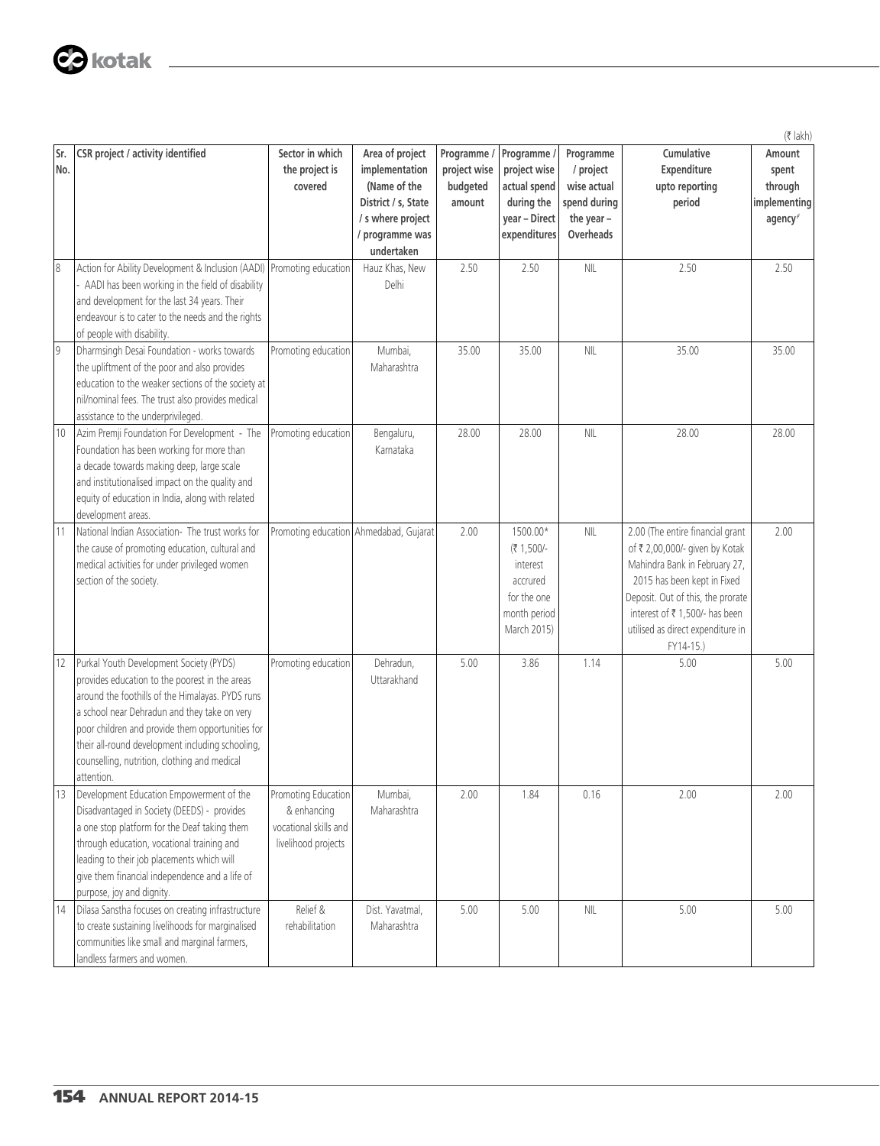|                |                                                                                                                                                                                                                                                                                                                                                                     |                                                                                    |                                                                                                                                |                                                   |                                                                                              |                                                                                 |                                                                                                                                                                                                                                                            | $(7$ lakh)                                                        |
|----------------|---------------------------------------------------------------------------------------------------------------------------------------------------------------------------------------------------------------------------------------------------------------------------------------------------------------------------------------------------------------------|------------------------------------------------------------------------------------|--------------------------------------------------------------------------------------------------------------------------------|---------------------------------------------------|----------------------------------------------------------------------------------------------|---------------------------------------------------------------------------------|------------------------------------------------------------------------------------------------------------------------------------------------------------------------------------------------------------------------------------------------------------|-------------------------------------------------------------------|
| Sr.<br>No.     | <b>CSR</b> project / activity identified                                                                                                                                                                                                                                                                                                                            | Sector in which<br>the project is<br>covered                                       | Area of project<br>implementation<br>(Name of the<br>District / s. State<br>/ s where project<br>/ programme was<br>undertaken | Programme /<br>project wise<br>budgeted<br>amount | Programme /<br>project wise<br>actual spend<br>during the<br>year - Direct<br>expenditures   | Programme<br>/ project<br>wise actual<br>spend during<br>the year-<br>Overheads | Cumulative<br><b>Expenditure</b><br>upto reporting<br>period                                                                                                                                                                                               | Amount<br>spent<br>through<br>implementing<br>agency <sup>#</sup> |
| 8              | Action for Ability Development & Inclusion (AADI)<br>AADI has been working in the field of disability<br>and development for the last 34 years. Their<br>endeavour is to cater to the needs and the rights<br>of people with disability.                                                                                                                            | Promoting education                                                                | Hauz Khas, New<br>Delhi                                                                                                        | 2.50                                              | 2.50                                                                                         | <b>NIL</b>                                                                      | 2.50                                                                                                                                                                                                                                                       | 2.50                                                              |
| $\overline{9}$ | Dharmsingh Desai Foundation - works towards<br>the upliftment of the poor and also provides<br>education to the weaker sections of the society at<br>nil/nominal fees. The trust also provides medical<br>assistance to the underprivileged.                                                                                                                        | Promoting education                                                                | Mumbai,<br>Maharashtra                                                                                                         | 35.00                                             | 35.00                                                                                        | <b>NIL</b>                                                                      | 35.00                                                                                                                                                                                                                                                      | 35.00                                                             |
| 10             | Azim Premji Foundation For Development - The<br>Foundation has been working for more than<br>a decade towards making deep, large scale<br>and institutionalised impact on the quality and<br>equity of education in India, along with related<br>development areas.                                                                                                 | Promoting education                                                                | Bengaluru,<br>Karnataka                                                                                                        | 28.00                                             | 28.00                                                                                        | <b>NIL</b>                                                                      | 28.00                                                                                                                                                                                                                                                      | 28.00                                                             |
| 11             | National Indian Association- The trust works for<br>the cause of promoting education, cultural and<br>medical activities for under privileged women<br>section of the society.                                                                                                                                                                                      |                                                                                    | Promoting education Ahmedabad, Gujarat                                                                                         | 2.00                                              | 1500.00*<br>(₹ 1,500/-<br>interest<br>accrured<br>for the one<br>month period<br>March 2015) | <b>NIL</b>                                                                      | 2.00 (The entire financial grant<br>of ₹ 2,00,000/- given by Kotak<br>Mahindra Bank in February 27,<br>2015 has been kept in Fixed<br>Deposit. Out of this, the prorate<br>interest of ₹1,500/- has been<br>utilised as direct expenditure in<br>FY14-15.) | 2.00                                                              |
| 12             | Purkal Youth Development Society (PYDS)<br>provides education to the poorest in the areas<br>around the foothills of the Himalayas. PYDS runs<br>a school near Dehradun and they take on very<br>poor children and provide them opportunities for<br>their all-round development including schooling,<br>counselling, nutrition, clothing and medical<br>attention. | Promoting education                                                                | Dehradun,<br>Uttarakhand                                                                                                       | 5.00                                              | 3.86                                                                                         | 1.14                                                                            | 5.00                                                                                                                                                                                                                                                       | 5.00                                                              |
| 13             | Development Education Empowerment of the<br>Disadvantaged in Society (DEEDS) - provides<br>a one stop platform for the Deaf taking them<br>through education, vocational training and<br>leading to their job placements which will<br>give them financial independence and a life of<br>purpose, joy and dignity.                                                  | Promoting Education<br>& enhancing<br>vocational skills and<br>livelihood projects | Mumbai,<br>Maharashtra                                                                                                         | 2.00                                              | 1.84                                                                                         | 0.16                                                                            | 2.00                                                                                                                                                                                                                                                       | 2.00                                                              |
| 14             | Dilasa Sanstha focuses on creating infrastructure<br>to create sustaining livelihoods for marginalised<br>communities like small and marginal farmers,<br>landless farmers and women.                                                                                                                                                                               | Relief &<br>rehabilitation                                                         | Dist. Yavatmal,<br>Maharashtra                                                                                                 | 5.00                                              | 5.00                                                                                         | <b>NIL</b>                                                                      | 5.00                                                                                                                                                                                                                                                       | 5.00                                                              |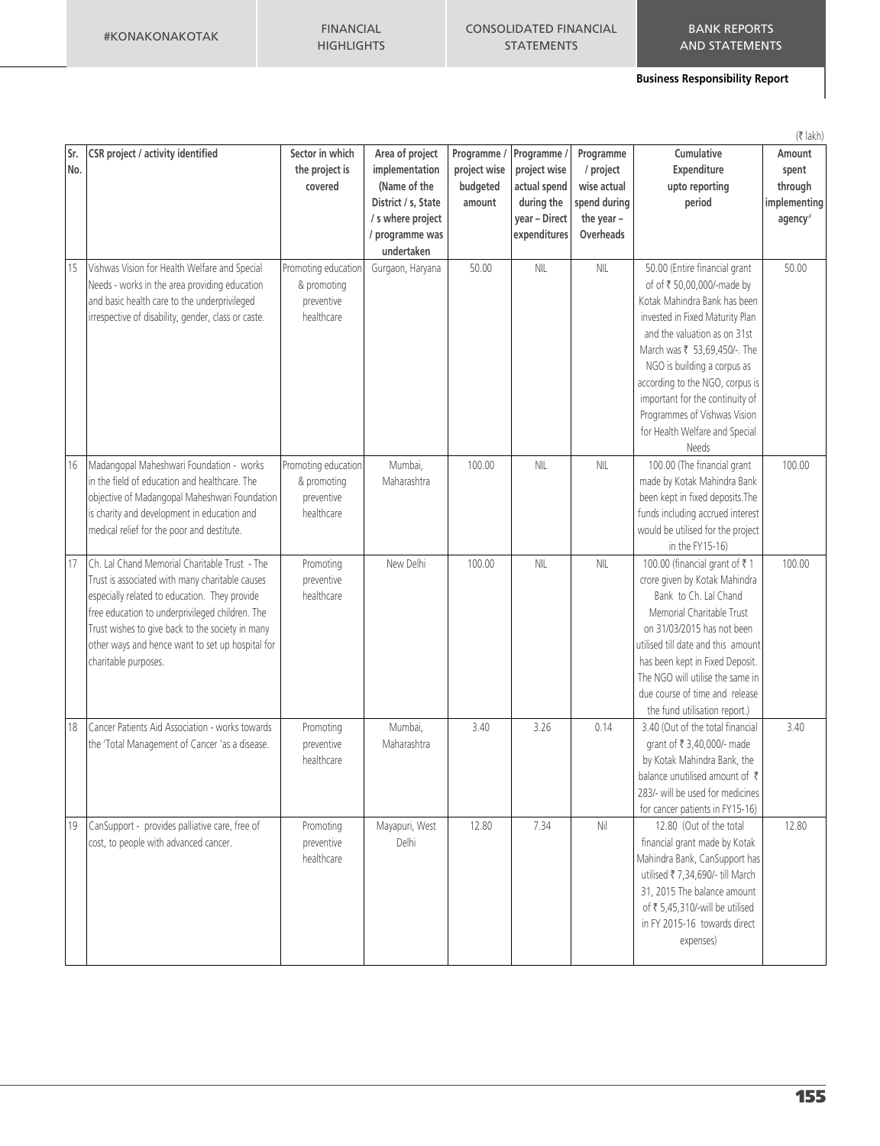# **Business Responsibility Report**

|            |                                                                                                                                                                                                                                                                                                                                      |                                                                |                                                                                                                                |                                                   |                                                                                          |                                                                                 |                                                                                                                                                                                                                                                                                                                                                                               | $(7$ lakh)                                                        |
|------------|--------------------------------------------------------------------------------------------------------------------------------------------------------------------------------------------------------------------------------------------------------------------------------------------------------------------------------------|----------------------------------------------------------------|--------------------------------------------------------------------------------------------------------------------------------|---------------------------------------------------|------------------------------------------------------------------------------------------|---------------------------------------------------------------------------------|-------------------------------------------------------------------------------------------------------------------------------------------------------------------------------------------------------------------------------------------------------------------------------------------------------------------------------------------------------------------------------|-------------------------------------------------------------------|
| Sr.<br>No. | <b>CSR</b> project / activity identified                                                                                                                                                                                                                                                                                             | Sector in which<br>the project is<br>covered                   | Area of project<br>implementation<br>(Name of the<br>District / s, State<br>/ s where project<br>/ programme was<br>undertaken | Programme /<br>project wise<br>budgeted<br>amount | Programme<br>project wise<br>actual spend<br>during the<br>year - Direct<br>expenditures | Programme<br>/ project<br>wise actual<br>spend during<br>the year-<br>Overheads | Cumulative<br>Expenditure<br>upto reporting<br>period                                                                                                                                                                                                                                                                                                                         | Amount<br>spent<br>through<br>implementing<br>agency <sup>#</sup> |
| 15         | Vishwas Vision for Health Welfare and Special<br>Needs - works in the area providing education<br>and basic health care to the underprivileged<br>irrespective of disability, gender, class or caste.                                                                                                                                | Promoting education<br>& promoting<br>preventive<br>healthcare | Gurgaon, Haryana                                                                                                               | 50.00                                             | NIL                                                                                      | <b>NIL</b>                                                                      | 50.00 (Entire financial grant<br>of of ₹50,00,000/-made by<br>Kotak Mahindra Bank has been<br>invested in Fixed Maturity Plan<br>and the valuation as on 31st<br>March was ₹ 53,69,450/-. The<br>NGO is building a corpus as<br>according to the NGO, corpus is<br>important for the continuity of<br>Programmes of Vishwas Vision<br>for Health Welfare and Special<br>Needs | 50.00                                                             |
| 16         | Madangopal Maheshwari Foundation - works<br>in the field of education and healthcare. The<br>objective of Madangopal Maheshwari Foundation<br>is charity and development in education and<br>medical relief for the poor and destitute.                                                                                              | Promoting education<br>& promoting<br>preventive<br>healthcare | Mumbai,<br>Maharashtra                                                                                                         | 100.00                                            | <b>NIL</b>                                                                               | <b>NIL</b>                                                                      | 100.00 (The financial grant<br>made by Kotak Mahindra Bank<br>been kept in fixed deposits. The<br>funds including accrued interest<br>would be utilised for the project<br>in the FY15-16)                                                                                                                                                                                    | 100.00                                                            |
| 17         | Ch. Lal Chand Memorial Charitable Trust - The<br>Trust is associated with many charitable causes<br>especially related to education. They provide<br>free education to underprivileged children. The<br>Trust wishes to give back to the society in many<br>other ways and hence want to set up hospital for<br>charitable purposes. | Promoting<br>preventive<br>healthcare                          | New Delhi                                                                                                                      | 100.00                                            | NIL                                                                                      | <b>NIL</b>                                                                      | 100.00 (financial grant of ₹1<br>crore given by Kotak Mahindra<br>Bank to Ch. Lal Chand<br>Memorial Charitable Trust<br>on 31/03/2015 has not been<br>utilised till date and this amount<br>has been kept in Fixed Deposit.<br>The NGO will utilise the same in<br>due course of time and release<br>the fund utilisation report.)                                            | 100.00                                                            |
| 18         | Cancer Patients Aid Association - works towards<br>the 'Total Management of Cancer 'as a disease.                                                                                                                                                                                                                                    | Promoting<br>preventive<br>healthcare                          | Mumbai,<br>Maharashtra                                                                                                         | 3.40                                              | 3.26                                                                                     | 0.14                                                                            | 3.40 (Out of the total financial<br>grant of ₹ 3,40,000/- made<br>by Kotak Mahindra Bank, the<br>balance unutilised amount of $\bar{\tau}$<br>283/- will be used for medicines<br>for cancer patients in FY15-16)                                                                                                                                                             | 3.40                                                              |
| 19         | CanSupport - provides palliative care, free of<br>cost, to people with advanced cancer.                                                                                                                                                                                                                                              | Promoting<br>preventive<br>healthcare                          | Mayapuri, West<br>Delhi                                                                                                        | 12.80                                             | 7.34                                                                                     | Nil                                                                             | 12.80 (Out of the total<br>financial grant made by Kotak<br>Mahindra Bank, CanSupport has<br>utilised ₹ 7,34,690/- till March<br>31, 2015 The balance amount<br>of ₹ 5,45,310/-will be utilised<br>in FY 2015-16 towards direct<br>expenses)                                                                                                                                  | 12.80                                                             |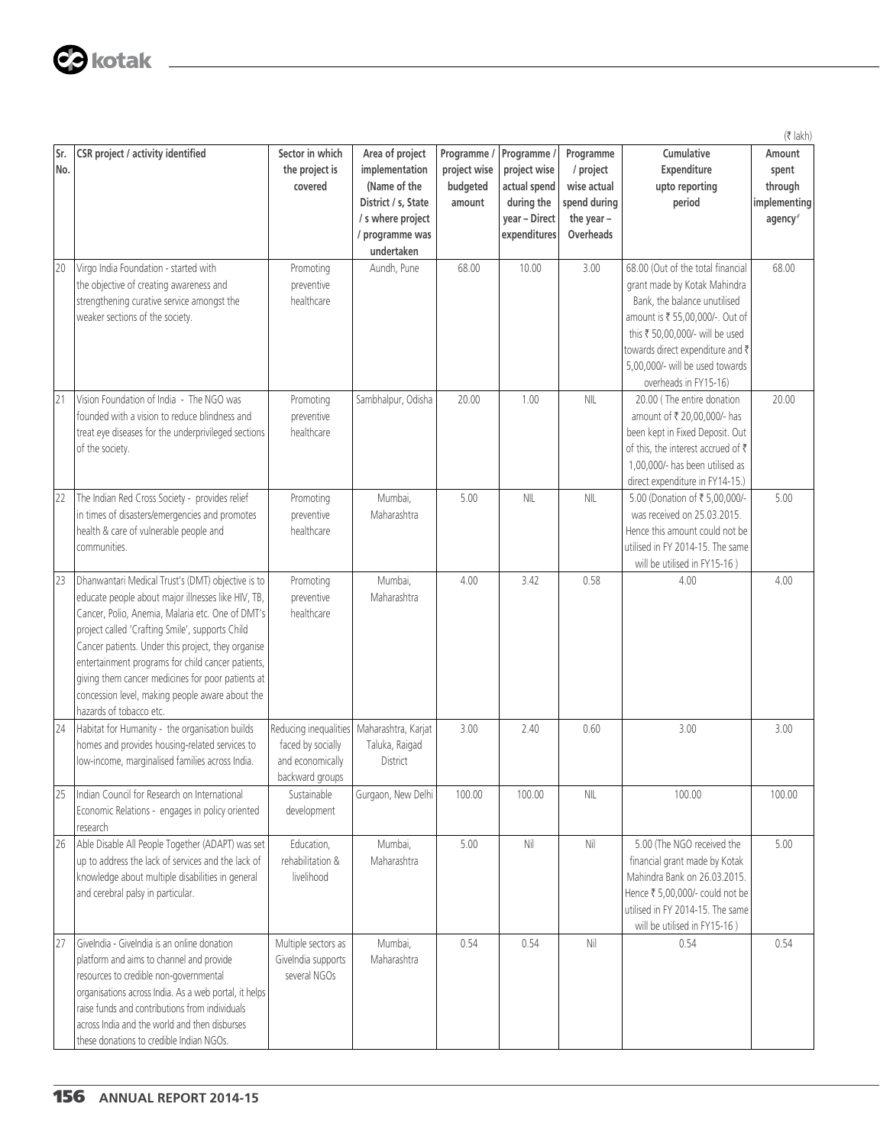|            |                                                                                                                                                                                                                                                                                                                                                                                                                                                              |                                                                                   |                                                                                                                                |                                                   |                                                                                          |                                                                                 |                                                                                                                                                                                                                                                                         | $(7$ lakh)                                                        |
|------------|--------------------------------------------------------------------------------------------------------------------------------------------------------------------------------------------------------------------------------------------------------------------------------------------------------------------------------------------------------------------------------------------------------------------------------------------------------------|-----------------------------------------------------------------------------------|--------------------------------------------------------------------------------------------------------------------------------|---------------------------------------------------|------------------------------------------------------------------------------------------|---------------------------------------------------------------------------------|-------------------------------------------------------------------------------------------------------------------------------------------------------------------------------------------------------------------------------------------------------------------------|-------------------------------------------------------------------|
| Sr.<br>No. | CSR project / activity identified                                                                                                                                                                                                                                                                                                                                                                                                                            | Sector in which<br>the project is<br>covered                                      | Area of project<br>implementation<br>(Name of the<br>District / s, State<br>/ s where project<br>/ programme was<br>undertaken | Programme /<br>project wise<br>budgeted<br>amount | Programme<br>project wise<br>actual spend<br>during the<br>year - Direct<br>expenditures | Programme<br>/ project<br>wise actual<br>spend during<br>the year-<br>Overheads | Cumulative<br>Expenditure<br>upto reporting<br>period                                                                                                                                                                                                                   | Amount<br>spent<br>through<br>implementing<br>agency <sup>#</sup> |
| 20         | Virgo India Foundation - started with<br>the objective of creating awareness and<br>strengthening curative service amongst the<br>weaker sections of the society.                                                                                                                                                                                                                                                                                            | Promoting<br>preventive<br>healthcare                                             | Aundh, Pune                                                                                                                    | 68.00                                             | 10.00                                                                                    | 3.00                                                                            | 68.00 (Out of the total financial<br>grant made by Kotak Mahindra<br>Bank, the balance unutilised<br>amount is ₹ 55,00,000/-. Out of<br>this ₹ 50,00,000/- will be used<br>towards direct expenditure and ₹<br>5,00,000/- will be used towards<br>overheads in FY15-16) | 68.00                                                             |
| 21         | Vision Foundation of India - The NGO was<br>founded with a vision to reduce blindness and<br>treat eye diseases for the underprivileged sections<br>of the society.                                                                                                                                                                                                                                                                                          | Promoting<br>preventive<br>healthcare                                             | Sambhalpur, Odisha                                                                                                             | 20.00                                             | 1.00                                                                                     | <b>NIL</b>                                                                      | 20.00 (The entire donation<br>amount of ₹ 20,00,000/- has<br>been kept in Fixed Deposit. Out<br>of this, the interest accrued of $\bar{\tau}$<br>1.00.000/- has been utilised as<br>direct expenditure in FY14-15.)                                                     | 20.00                                                             |
| 22         | The Indian Red Cross Society - provides relief<br>in times of disasters/emergencies and promotes<br>health & care of vulnerable people and<br>communities.                                                                                                                                                                                                                                                                                                   | Promoting<br>preventive<br>healthcare                                             | Mumbai,<br>Maharashtra                                                                                                         | 5.00                                              | <b>NIL</b>                                                                               | <b>NIL</b>                                                                      | 5.00 (Donation of ₹ 5,00,000/-<br>was received on 25.03.2015.<br>Hence this amount could not be<br>utilised in FY 2014-15. The same<br>will be utilised in FY15-16)                                                                                                     | 5.00                                                              |
| 23         | Dhanwantari Medical Trust's (DMT) objective is to<br>educate people about major illnesses like HIV, TB,<br>Cancer, Polio, Anemia, Malaria etc. One of DMT's<br>project called 'Crafting Smile', supports Child<br>Cancer patients. Under this project, they organise<br>entertainment programs for child cancer patients,<br>giving them cancer medicines for poor patients at<br>concession level, making people aware about the<br>hazards of tobacco etc. | Promoting<br>preventive<br>healthcare                                             | Mumbai,<br>Maharashtra                                                                                                         | 4.00                                              | 3.42                                                                                     | 0.58                                                                            | 4.00                                                                                                                                                                                                                                                                    | 4.00                                                              |
| 24         | Habitat for Humanity - the organisation builds<br>homes and provides housing-related services to<br>low-income, marginalised families across India.                                                                                                                                                                                                                                                                                                          | Reducing inequalities<br>faced by socially<br>and economically<br>backward groups | Maharashtra, Karjat<br>Taluka, Raigad<br>District                                                                              | 3.00                                              | 2.40                                                                                     | 0.60                                                                            | 3.00                                                                                                                                                                                                                                                                    | 3.00                                                              |
|            | Indian Council for Research on International<br>Economic Relations - engages in policy oriented<br>research                                                                                                                                                                                                                                                                                                                                                  | Sustainable<br>development                                                        | Gurgaon, New Delhi                                                                                                             | 100.00                                            | 100.00                                                                                   | NIL                                                                             | 100.00                                                                                                                                                                                                                                                                  | 100.00                                                            |
| 26         | Able Disable All People Together (ADAPT) was set<br>up to address the lack of services and the lack of<br>knowledge about multiple disabilities in general<br>and cerebral palsy in particular.                                                                                                                                                                                                                                                              | Education,<br>rehabilitation &<br>livelihood                                      | Mumbai,<br>Maharashtra                                                                                                         | 5.00                                              | Nil                                                                                      | Nil                                                                             | 5.00 (The NGO received the<br>financial grant made by Kotak<br>Mahindra Bank on 26.03.2015.<br>Hence ₹ 5,00,000/- could not be<br>utilised in FY 2014-15. The same<br>will be utilised in FY15-16)                                                                      | 5.00                                                              |
| 27         | Givelndia - Givelndia is an online donation<br>platform and aims to channel and provide<br>resources to credible non-governmental<br>organisations across India. As a web portal, it helps<br>raise funds and contributions from individuals<br>across India and the world and then disburses<br>these donations to credible Indian NGOs.                                                                                                                    | Multiple sectors as<br>Givelndia supports<br>several NGOs                         | Mumbai,<br>Maharashtra                                                                                                         | 0.54                                              | 0.54                                                                                     | Nil                                                                             | 0.54                                                                                                                                                                                                                                                                    | 0.54                                                              |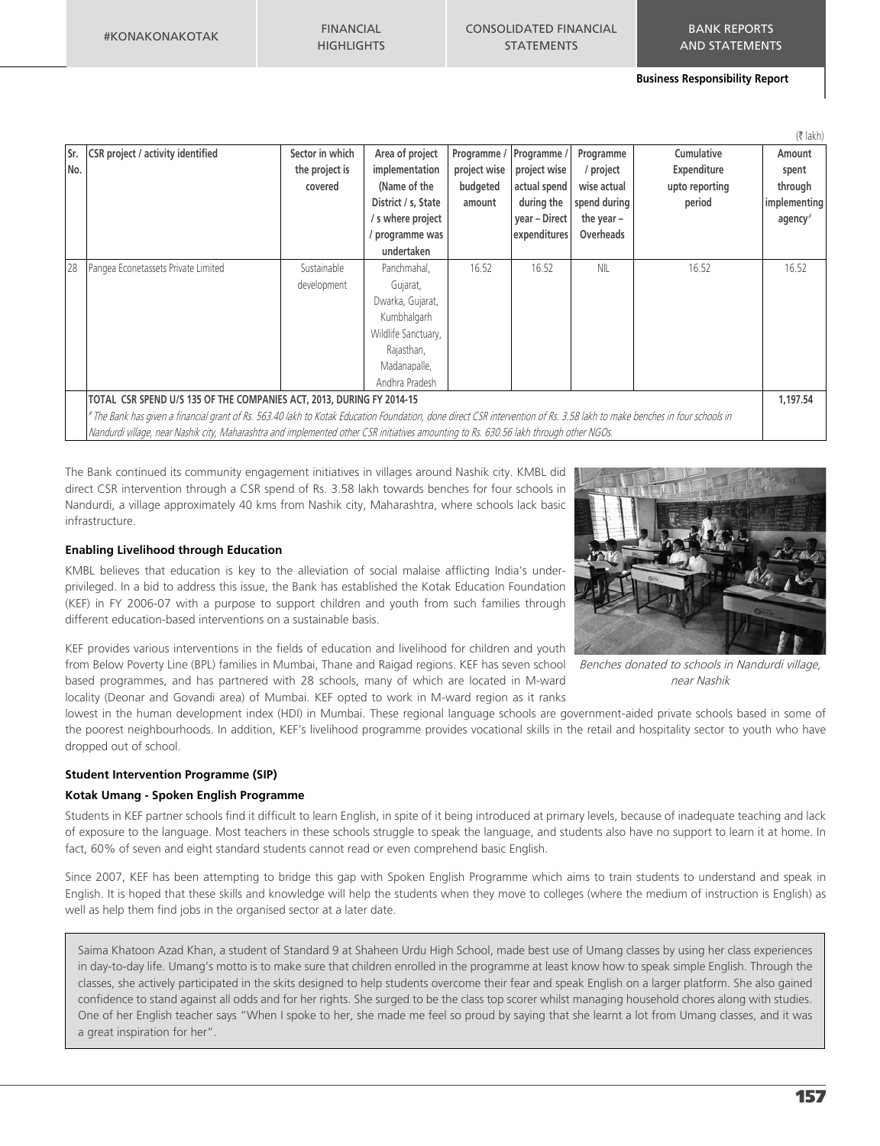# CONSOLIDATED FINANCIAL STATEMENTS

#### **Business Responsibility Report**

| Sr.<br>INo. | <b>CSR</b> project / activity identified                                                                                                                                                                                                                                                                                                                                                     | Sector in which<br>the project is<br>covered | Area of project<br>implementation<br>(Name of the<br>District / s, State<br>/ s where project<br>programme was<br>undertaken      | Programme /<br>project wise<br>budgeted<br>amount | Programme /<br>project wise<br>actual spend<br>during the<br>year - Direct<br>expenditures | Programme<br>/ project<br>wise actual<br>spend during<br>the year $-$<br>Overheads | Cumulative<br>Expenditure<br>upto reporting<br>period | $(5$ lakh)<br>Amount<br>spent<br>through<br>implementing<br>agency <sup>#</sup> |
|-------------|----------------------------------------------------------------------------------------------------------------------------------------------------------------------------------------------------------------------------------------------------------------------------------------------------------------------------------------------------------------------------------------------|----------------------------------------------|-----------------------------------------------------------------------------------------------------------------------------------|---------------------------------------------------|--------------------------------------------------------------------------------------------|------------------------------------------------------------------------------------|-------------------------------------------------------|---------------------------------------------------------------------------------|
| 28          | Pangea Econetassets Private Limited                                                                                                                                                                                                                                                                                                                                                          | Sustainable<br>development                   | Panchmahal,<br>Gujarat,<br>Dwarka, Gujarat,<br>Kumbhalgarh<br>Wildlife Sanctuary,<br>Rajasthan,<br>Madanapalle,<br>Andhra Pradesh | 16.52                                             | 16.52                                                                                      | <b>NIL</b>                                                                         | 16.52                                                 | 16.52                                                                           |
|             | TOTAL CSR SPEND U/S 135 OF THE COMPANIES ACT, 2013, DURING FY 2014-15<br># The Bank has given a financial grant of Rs. 563.40 lakh to Kotak Education Foundation, done direct CSR intervention of Rs. 3.58 lakh to make benches in four schools in<br>Nandurdi village, near Nashik city, Maharashtra and implemented other CSR initiatives amounting to Rs. 630.56 lakh through other NGOs. |                                              |                                                                                                                                   |                                                   |                                                                                            |                                                                                    |                                                       | 1,197.54                                                                        |

The Bank continued its community engagement initiatives in villages around Nashik city. KMBL did direct CSR intervention through a CSR spend of Rs. 3.58 lakh towards benches for four schools in Nandurdi, a village approximately 40 kms from Nashik city, Maharashtra, where schools lack basic infrastructure.



# **Enabling Livelihood through Education**

KMBL believes that education is key to the alleviation of social malaise afflicting India's underprivileged. In a bid to address this issue, the Bank has established the Kotak Education Foundation (KEF) in FY 2006-07 with a purpose to support children and youth from such families through different education-based interventions on a sustainable basis.

KEF provides various interventions in the fields of education and livelihood for children and youth from Below Poverty Line (BPL) families in Mumbai, Thane and Raigad regions. KEF has seven school based programmes, and has partnered with 28 schools, many of which are located in M-ward locality (Deonar and Govandi area) of Mumbai. KEF opted to work in M-ward region as it ranks

Benches donated to schools in Nandurdi village, near Nashik

lowest in the human development index (HDI) in Mumbai. These regional language schools are government-aided private schools based in some of the poorest neighbourhoods. In addition, KEF's livelihood programme provides vocational skills in the retail and hospitality sector to youth who have dropped out of school.

# **Student Intervention Programme (SIP)**

# **Kotak Umang - Spoken English Programme**

Students in KEF partner schools find it difficult to learn English, in spite of it being introduced at primary levels, because of inadequate teaching and lack of exposure to the language. Most teachers in these schools struggle to speak the language, and students also have no support to learn it at home. In fact, 60% of seven and eight standard students cannot read or even comprehend basic English.

Since 2007, KEF has been attempting to bridge this gap with Spoken English Programme which aims to train students to understand and speak in English. It is hoped that these skills and knowledge will help the students when they move to colleges (where the medium of instruction is English) as well as help them find jobs in the organised sector at a later date.

Saima Khatoon Azad Khan, a student of Standard 9 at Shaheen Urdu High School, made best use of Umang classes by using her class experiences in day-to-day life. Umang's motto is to make sure that children enrolled in the programme at least know how to speak simple English. Through the classes, she actively participated in the skits designed to help students overcome their fear and speak English on a larger platform. She also gained confidence to stand against all odds and for her rights. She surged to be the class top scorer whilst managing household chores along with studies. One of her English teacher says "When I spoke to her, she made me feel so proud by saying that she learnt a lot from Umang classes, and it was a great inspiration for her".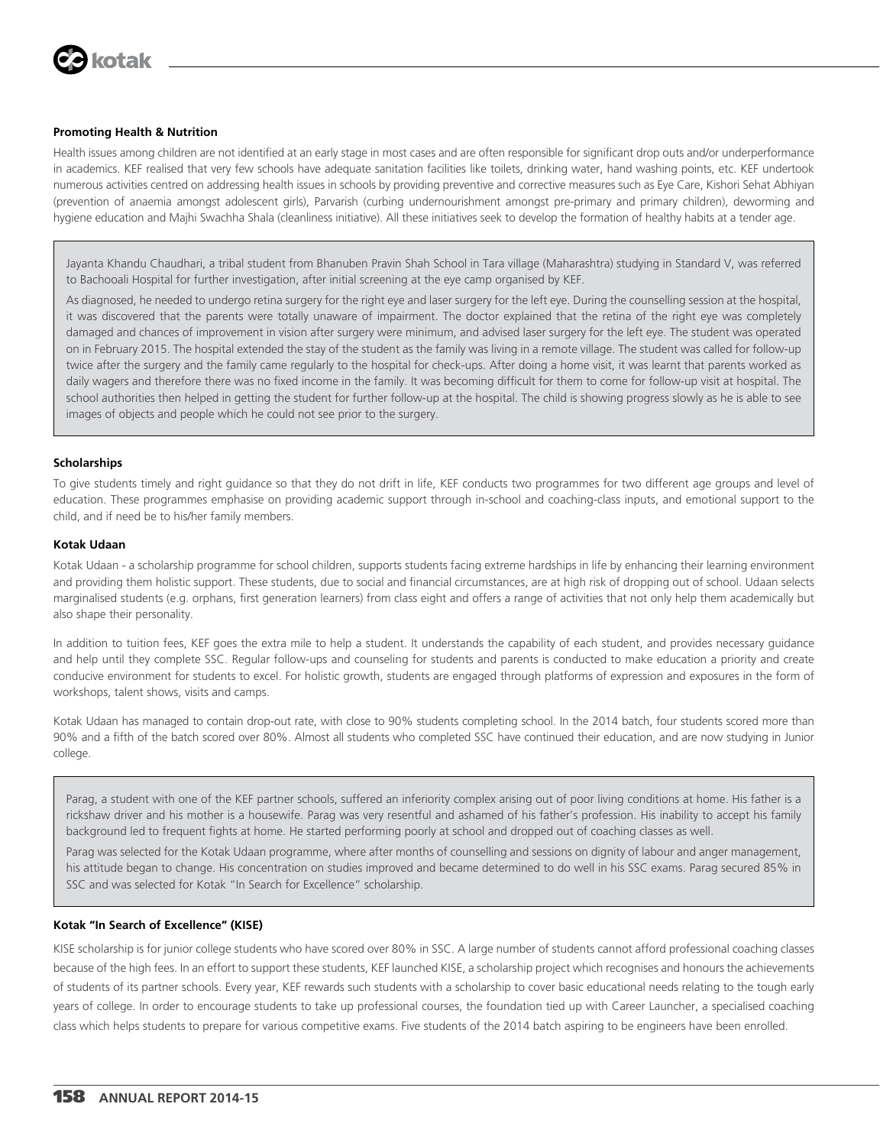

# **Promoting Health & Nutrition**

Health issues among children are not identified at an early stage in most cases and are often responsible for significant drop outs and/or underperformance in academics. KEF realised that very few schools have adequate sanitation facilities like toilets, drinking water, hand washing points, etc. KEF undertook numerous activities centred on addressing health issues in schools by providing preventive and corrective measures such as Eye Care, Kishori Sehat Abhiyan (prevention of anaemia amongst adolescent girls), Parvarish (curbing undernourishment amongst pre-primary and primary children), deworming and hygiene education and Majhi Swachha Shala (cleanliness initiative). All these initiatives seek to develop the formation of healthy habits at a tender age.

Jayanta Khandu Chaudhari, a tribal student from Bhanuben Pravin Shah School in Tara village (Maharashtra) studying in Standard V, was referred to Bachooali Hospital for further investigation, after initial screening at the eye camp organised by KEF.

As diagnosed, he needed to undergo retina surgery for the right eye and laser surgery for the left eye. During the counselling session at the hospital, it was discovered that the parents were totally unaware of impairment. The doctor explained that the retina of the right eye was completely damaged and chances of improvement in vision after surgery were minimum, and advised laser surgery for the left eye. The student was operated on in February 2015. The hospital extended the stay of the student as the family was living in a remote village. The student was called for follow-up twice after the surgery and the family came regularly to the hospital for check-ups. After doing a home visit, it was learnt that parents worked as daily wagers and therefore there was no fixed income in the family. It was becoming difficult for them to come for follow-up visit at hospital. The school authorities then helped in getting the student for further follow-up at the hospital. The child is showing progress slowly as he is able to see images of objects and people which he could not see prior to the surgery.

# **Scholarships**

To give students timely and right guidance so that they do not drift in life, KEF conducts two programmes for two different age groups and level of education. These programmes emphasise on providing academic support through in-school and coaching-class inputs, and emotional support to the child, and if need be to his/her family members.

#### **Kotak Udaan**

Kotak Udaan - a scholarship programme for school children, supports students facing extreme hardships in life by enhancing their learning environment and providing them holistic support. These students, due to social and financial circumstances, are at high risk of dropping out of school. Udaan selects marginalised students (e.g. orphans, first generation learners) from class eight and offers a range of activities that not only help them academically but also shape their personality.

In addition to tuition fees, KEF goes the extra mile to help a student. It understands the capability of each student, and provides necessary guidance and help until they complete SSC. Regular follow-ups and counseling for students and parents is conducted to make education a priority and create conducive environment for students to excel. For holistic growth, students are engaged through platforms of expression and exposures in the form of workshops, talent shows, visits and camps.

Kotak Udaan has managed to contain drop-out rate, with close to 90% students completing school. In the 2014 batch, four students scored more than 90% and a fifth of the batch scored over 80%. Almost all students who completed SSC have continued their education, and are now studying in Junior college.

Parag, a student with one of the KEF partner schools, suffered an inferiority complex arising out of poor living conditions at home. His father is a rickshaw driver and his mother is a housewife. Parag was very resentful and ashamed of his father's profession. His inability to accept his family background led to frequent fights at home. He started performing poorly at school and dropped out of coaching classes as well.

Parag was selected for the Kotak Udaan programme, where after months of counselling and sessions on dignity of labour and anger management, his attitude began to change. His concentration on studies improved and became determined to do well in his SSC exams. Parag secured 85% in SSC and was selected for Kotak "In Search for Excellence" scholarship.

# **Kotak "In Search of Excellence" (KISE)**

KISE scholarship is for junior college students who have scored over 80% in SSC. A large number of students cannot afford professional coaching classes because of the high fees. In an effort to support these students, KEF launched KISE, a scholarship project which recognises and honours the achievements of students of its partner schools. Every year, KEF rewards such students with a scholarship to cover basic educational needs relating to the tough early years of college. In order to encourage students to take up professional courses, the foundation tied up with Career Launcher, a specialised coaching class which helps students to prepare for various competitive exams. Five students of the 2014 batch aspiring to be engineers have been enrolled.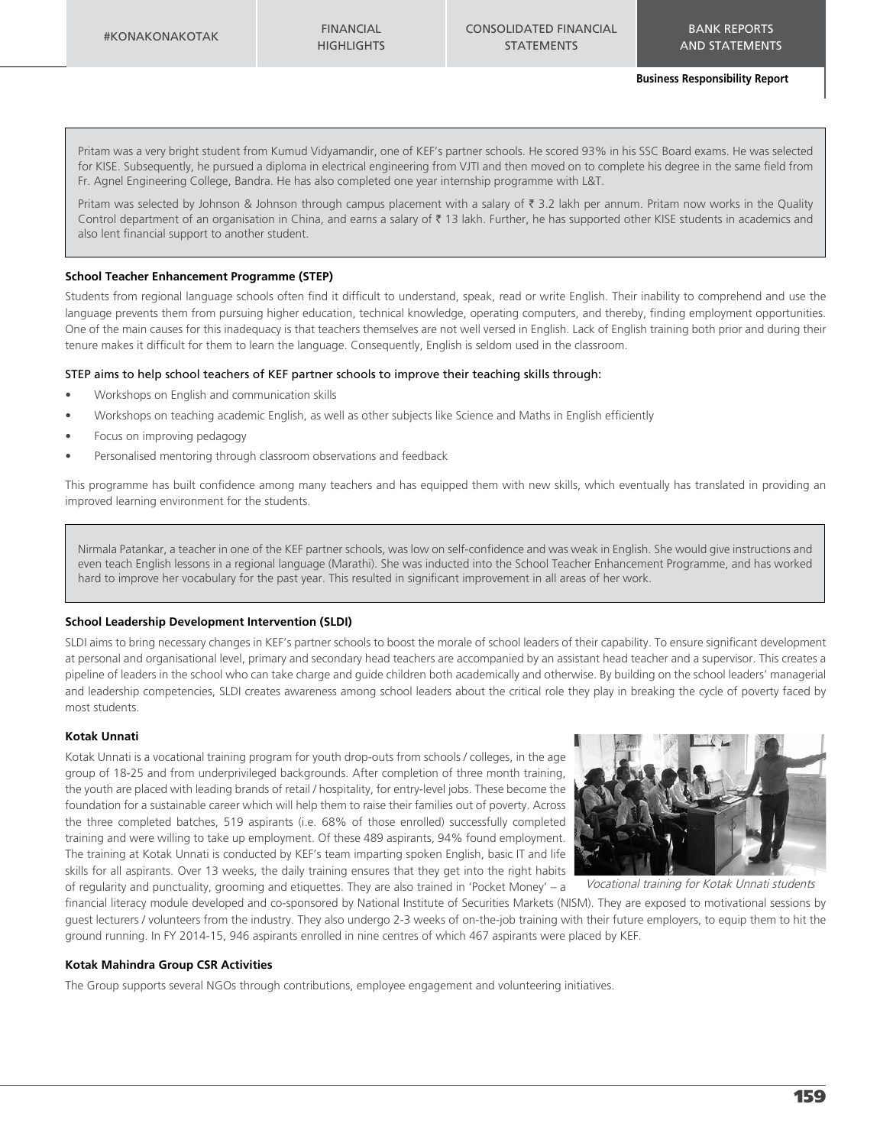Pritam was a very bright student from Kumud Vidyamandir, one of KEF's partner schools. He scored 93% in his SSC Board exams. He was selected for KISE. Subsequently, he pursued a diploma in electrical engineering from VJTI and then moved on to complete his degree in the same field from Fr. Agnel Engineering College, Bandra. He has also completed one year internship programme with L&T.

Pritam was selected by Johnson & Johnson through campus placement with a salary of ₹ 3.2 lakh per annum. Pritam now works in the Quality Control department of an organisation in China, and earns a salary of ₹ 13 lakh. Further, he has supported other KISE students in academics and also lent financial support to another student.

#### **School Teacher Enhancement Programme (STEP)**

Students from regional language schools often find it difficult to understand, speak, read or write English. Their inability to comprehend and use the language prevents them from pursuing higher education, technical knowledge, operating computers, and thereby, finding employment opportunities. One of the main causes for this inadequacy is that teachers themselves are not well versed in English. Lack of English training both prior and during their tenure makes it difficult for them to learn the language. Consequently, English is seldom used in the classroom.

#### STEP aims to help school teachers of KEF partner schools to improve their teaching skills through:

- Workshops on English and communication skills
- Workshops on teaching academic English, as well as other subjects like Science and Maths in English efficiently
- Focus on improving pedagogy
- Personalised mentoring through classroom observations and feedback

This programme has built confidence among many teachers and has equipped them with new skills, which eventually has translated in providing an improved learning environment for the students.

Nirmala Patankar, a teacher in one of the KEF partner schools, was low on self-confidence and was weak in English. She would give instructions and even teach English lessons in a regional language (Marathi). She was inducted into the School Teacher Enhancement Programme, and has worked hard to improve her vocabulary for the past year. This resulted in significant improvement in all areas of her work.

## **School Leadership Development Intervention (SLDI)**

SLDI aims to bring necessary changes in KEF's partner schools to boost the morale of school leaders of their capability. To ensure significant development at personal and organisational level, primary and secondary head teachers are accompanied by an assistant head teacher and a supervisor. This creates a pipeline of leaders in the school who can take charge and guide children both academically and otherwise. By building on the school leaders' managerial and leadership competencies, SLDI creates awareness among school leaders about the critical role they play in breaking the cycle of poverty faced by most students.

#### **Kotak Unnati**

Kotak Unnati is a vocational training program for youth drop-outs from schools / colleges, in the age group of 18-25 and from underprivileged backgrounds. After completion of three month training, the youth are placed with leading brands of retail / hospitality, for entry-level jobs. These become the foundation for a sustainable career which will help them to raise their families out of poverty. Across the three completed batches, 519 aspirants (i.e. 68% of those enrolled) successfully completed training and were willing to take up employment. Of these 489 aspirants, 94% found employment. The training at Kotak Unnati is conducted by KEF's team imparting spoken English, basic IT and life skills for all aspirants. Over 13 weeks, the daily training ensures that they get into the right habits of regularity and punctuality, grooming and etiquettes. They are also trained in 'Pocket Money' – a



Vocational training for Kotak Unnati students

financial literacy module developed and co-sponsored by National Institute of Securities Markets (NISM). They are exposed to motivational sessions by guest lecturers / volunteers from the industry. They also undergo 2-3 weeks of on-the-job training with their future employers, to equip them to hit the ground running. In FY 2014-15, 946 aspirants enrolled in nine centres of which 467 aspirants were placed by KEF.

#### **Kotak Mahindra Group CSR Activities**

The Group supports several NGOs through contributions, employee engagement and volunteering initiatives.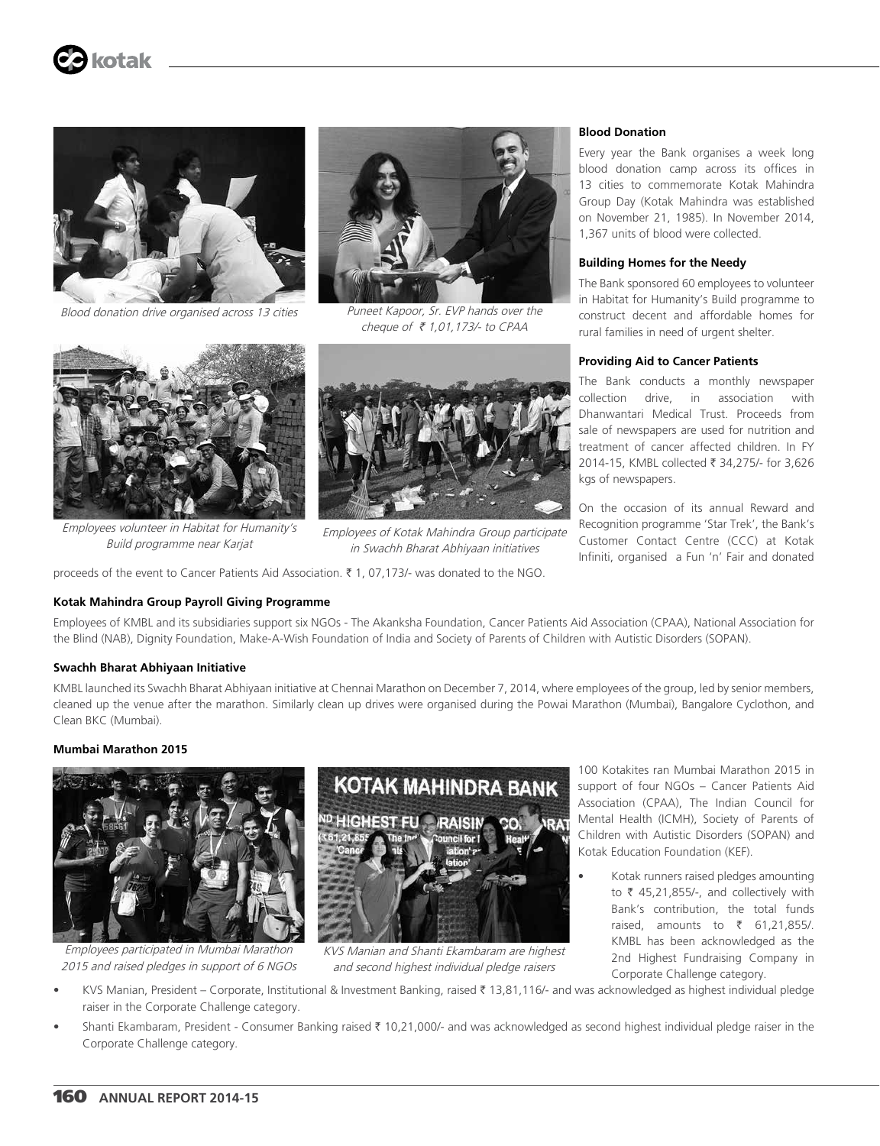

Blood donation drive organised across 13 cities Puneet Kapoor, Sr. EVP hands over the



cheque of  $\bar{\tau}$  1,01,173/- to CPAA



Employees volunteer in Habitat for Humanity's Build programme near Karjat



Employees of Kotak Mahindra Group participate in Swachh Bharat Abhiyaan initiatives

# **Blood Donation**

Every year the Bank organises a week long blood donation camp across its offices in 13 cities to commemorate Kotak Mahindra Group Day (Kotak Mahindra was established on November 21, 1985). In November 2014, 1,367 units of blood were collected.

# **Building Homes for the Needy**

The Bank sponsored 60 employees to volunteer in Habitat for Humanity's Build programme to construct decent and affordable homes for rural families in need of urgent shelter.

# **Providing Aid to Cancer Patients**

The Bank conducts a monthly newspaper collection drive, in association with Dhanwantari Medical Trust. Proceeds from sale of newspapers are used for nutrition and treatment of cancer affected children. In FY 2014-15, KMBL collected ₹ 34,275/- for 3,626 kgs of newspapers.

On the occasion of its annual Reward and Recognition programme 'Star Trek', the Bank's Customer Contact Centre (CCC) at Kotak Infiniti, organised a Fun 'n' Fair and donated

proceeds of the event to Cancer Patients Aid Association.  $\bar{\bar{\tau}}$  1, 07,173/- was donated to the NGO.

# **Kotak Mahindra Group Payroll Giving Programme**

Employees of KMBL and its subsidiaries support six NGOs - The Akanksha Foundation, Cancer Patients Aid Association (CPAA), National Association for the Blind (NAB), Dignity Foundation, Make-A-Wish Foundation of India and Society of Parents of Children with Autistic Disorders (SOPAN).

# **Swachh Bharat Abhiyaan Initiative**

KMBL launched its Swachh Bharat Abhiyaan initiative at Chennai Marathon on December 7, 2014, where employees of the group, led by senior members, cleaned up the venue after the marathon. Similarly clean up drives were organised during the Powai Marathon (Mumbai), Bangalore Cyclothon, and Clean BKC (Mumbai).

# **Mumbai Marathon 2015**



Employees participated in Mumbai Marathon 2015 and raised pledges in support of 6 NGOs



KVS Manian and Shanti Ekambaram are highest and second highest individual pledge raisers

100 Kotakites ran Mumbai Marathon 2015 in support of four NGOs – Cancer Patients Aid Association (CPAA), The Indian Council for Mental Health (ICMH), Society of Parents of Children with Autistic Disorders (SOPAN) and Kotak Education Foundation (KEF).

- Kotak runners raised pledges amounting to  $\bar{\tau}$  45,21,855/-, and collectively with Bank's contribution, the total funds raised, amounts to  $\bar{z}$  61,21,855/. KMBL has been acknowledged as the 2nd Highest Fundraising Company in Corporate Challenge category.
- KVS Manian, President Corporate, Institutional & Investment Banking, raised ` 13,81,116/- and was acknowledged as highest individual pledge raiser in the Corporate Challenge category.
- Shanti Ekambaram, President Consumer Banking raised  $\bar{x}$  10,21,000/- and was acknowledged as second highest individual pledge raiser in the Corporate Challenge category.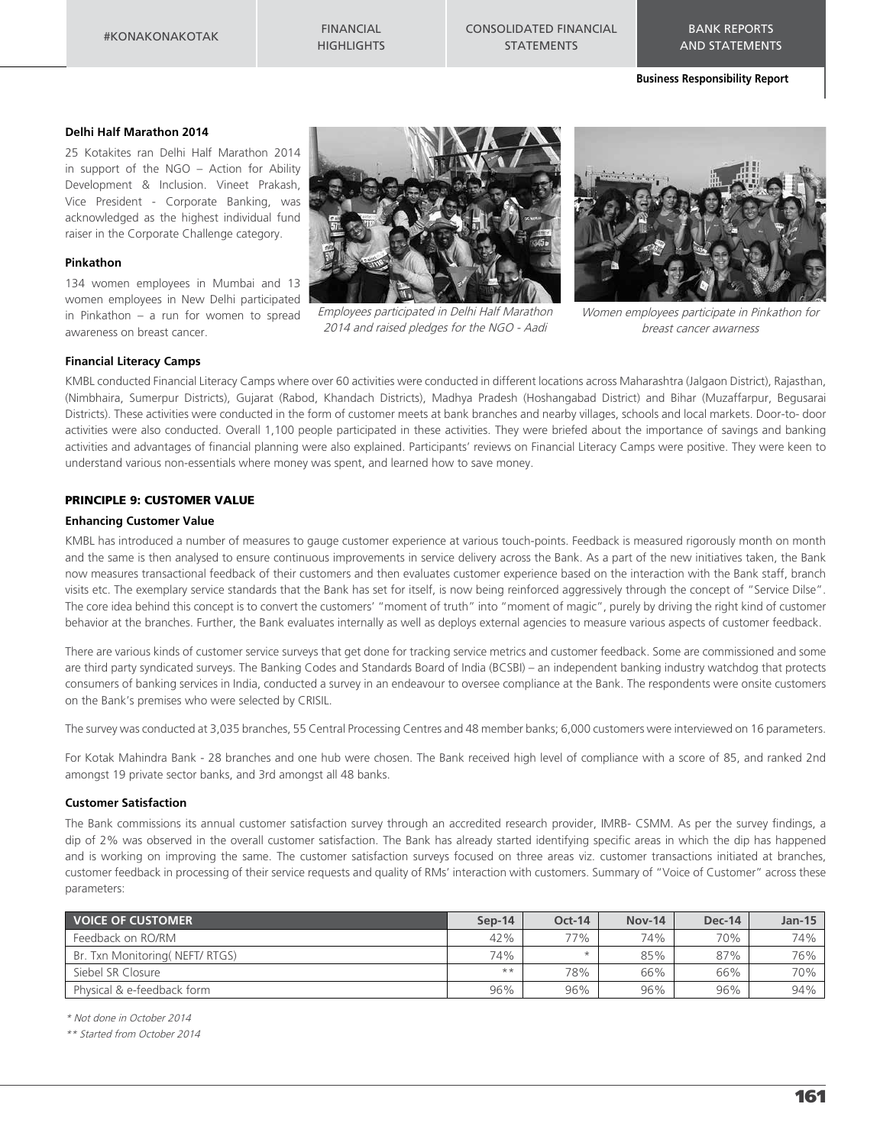#KONAKONAKOTAK FINANCIAL **HIGHLIGHTS**  CONSOLIDATED FINANCIAL STATEMENTS

BANK REPORTS AND STATEMENTS

**Business Responsibility Report**

#### **Delhi Half Marathon 2014**

25 Kotakites ran Delhi Half Marathon 2014 in support of the NGO – Action for Ability Development & Inclusion. Vineet Prakash, Vice President - Corporate Banking, was acknowledged as the highest individual fund raiser in the Corporate Challenge category.

## **Pinkathon**

134 women employees in Mumbai and 13 women employees in New Delhi participated in Pinkathon – a run for women to spread awareness on breast cancer.



Employees participated in Delhi Half Marathon 2014 and raised pledges for the NGO - Aadi



Women employees participate in Pinkathon for breast cancer awarness

#### **Financial Literacy Camps**

KMBL conducted Financial Literacy Camps where over 60 activities were conducted in different locations across Maharashtra (Jalgaon District), Rajasthan, (Nimbhaira, Sumerpur Districts), Gujarat (Rabod, Khandach Districts), Madhya Pradesh (Hoshangabad District) and Bihar (Muzaffarpur, Begusarai Districts). These activities were conducted in the form of customer meets at bank branches and nearby villages, schools and local markets. Door-to- door activities were also conducted. Overall 1,100 people participated in these activities. They were briefed about the importance of savings and banking activities and advantages of financial planning were also explained. Participants' reviews on Financial Literacy Camps were positive. They were keen to understand various non-essentials where money was spent, and learned how to save money.

# PRINCIPLE 9: CUSTOMER VALUE

#### **Enhancing Customer Value**

KMBL has introduced a number of measures to gauge customer experience at various touch-points. Feedback is measured rigorously month on month and the same is then analysed to ensure continuous improvements in service delivery across the Bank. As a part of the new initiatives taken, the Bank now measures transactional feedback of their customers and then evaluates customer experience based on the interaction with the Bank staff, branch visits etc. The exemplary service standards that the Bank has set for itself, is now being reinforced aggressively through the concept of "Service Dilse". The core idea behind this concept is to convert the customers' "moment of truth" into "moment of magic", purely by driving the right kind of customer behavior at the branches. Further, the Bank evaluates internally as well as deploys external agencies to measure various aspects of customer feedback.

There are various kinds of customer service surveys that get done for tracking service metrics and customer feedback. Some are commissioned and some are third party syndicated surveys. The Banking Codes and Standards Board of India (BCSBI) – an independent banking industry watchdog that protects consumers of banking services in India, conducted a survey in an endeavour to oversee compliance at the Bank. The respondents were onsite customers on the Bank's premises who were selected by CRISIL.

The survey was conducted at 3,035 branches, 55 Central Processing Centres and 48 member banks; 6,000 customers were interviewed on 16 parameters.

For Kotak Mahindra Bank - 28 branches and one hub were chosen. The Bank received high level of compliance with a score of 85, and ranked 2nd amongst 19 private sector banks, and 3rd amongst all 48 banks.

#### **Customer Satisfaction**

The Bank commissions its annual customer satisfaction survey through an accredited research provider, IMRB- CSMM. As per the survey findings, a dip of 2% was observed in the overall customer satisfaction. The Bank has already started identifying specific areas in which the dip has happened and is working on improving the same. The customer satisfaction surveys focused on three areas viz. customer transactions initiated at branches, customer feedback in processing of their service requests and quality of RMs' interaction with customers. Summary of "Voice of Customer" across these parameters:

| <b>VOICE OF CUSTOMER</b>       | $Sen-14$ | <b>Oct-14</b> | <b>Nov-14</b> | <b>Dec-14</b> | $Jan-15$ |
|--------------------------------|----------|---------------|---------------|---------------|----------|
| Feedback on RO/RM              | 42%      | 77%           | 74%           | 70%           | 74%      |
| Br. Txn Monitoring (NEFT/RTGS) | 74%      |               | 85%           | 87%           | 76%      |
| Siebel SR Closure              | $**$     | 78%           | 66%           | 66%           | 70%      |
| Physical & e-feedback form     | 96%      | 96%           | 96%           | 96%           | 94%      |

\* Not done in October 2014

\*\* Started from October 2014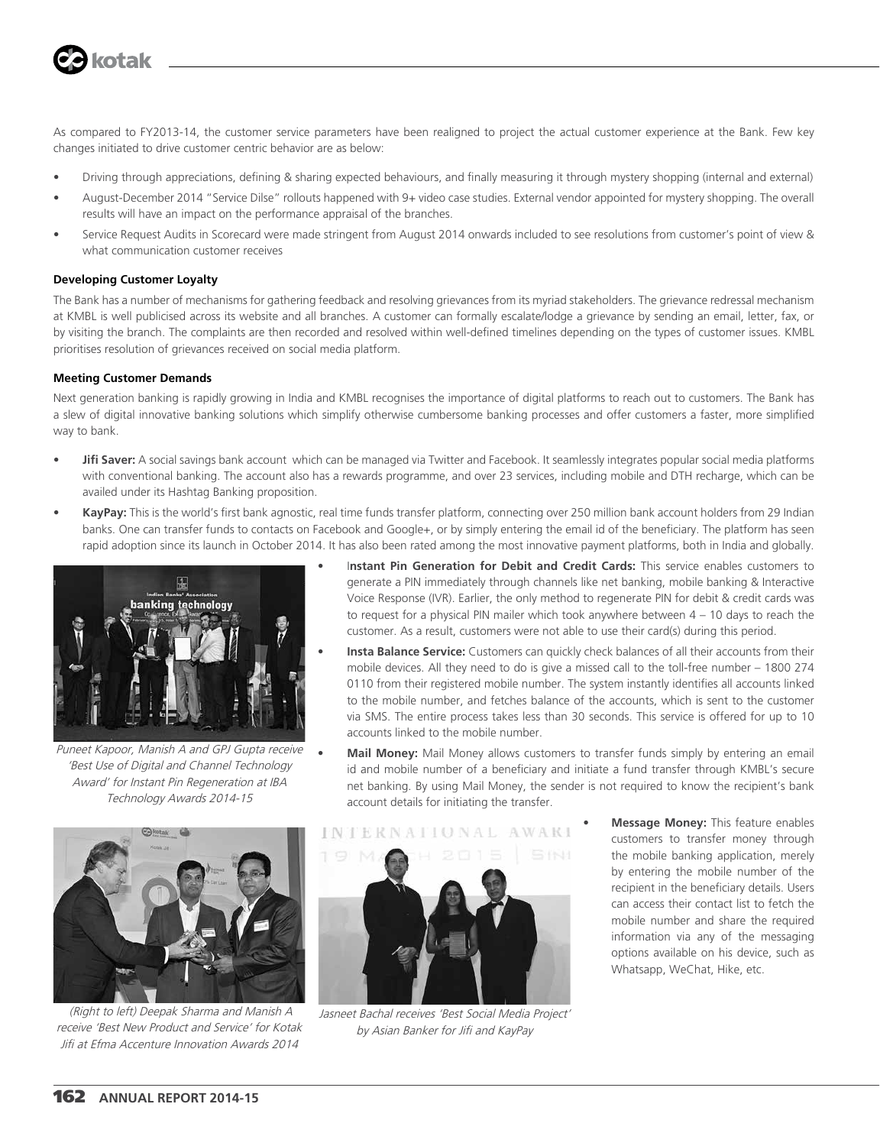

As compared to FY2013-14, the customer service parameters have been realigned to project the actual customer experience at the Bank. Few key changes initiated to drive customer centric behavior are as below:

- Driving through appreciations, defining & sharing expected behaviours, and finally measuring it through mystery shopping (internal and external)
- August-December 2014 "Service Dilse" rollouts happened with 9+ video case studies. External vendor appointed for mystery shopping. The overall results will have an impact on the performance appraisal of the branches.
- Service Request Audits in Scorecard were made stringent from August 2014 onwards included to see resolutions from customer's point of view & what communication customer receives

### **Developing Customer Loyalty**

The Bank has a number of mechanisms for gathering feedback and resolving grievances from its myriad stakeholders. The grievance redressal mechanism at KMBL is well publicised across its website and all branches. A customer can formally escalate/lodge a grievance by sending an email, letter, fax, or by visiting the branch. The complaints are then recorded and resolved within well-defined timelines depending on the types of customer issues. KMBL prioritises resolution of grievances received on social media platform.

#### **Meeting Customer Demands**

Next generation banking is rapidly growing in India and KMBL recognises the importance of digital platforms to reach out to customers. The Bank has a slew of digital innovative banking solutions which simplify otherwise cumbersome banking processes and offer customers a faster, more simplified way to bank.

- **Jifi Saver:** A social savings bank account which can be managed via Twitter and Facebook. It seamlessly integrates popular social media platforms with conventional banking. The account also has a rewards programme, and over 23 services, including mobile and DTH recharge, which can be availed under its Hashtag Banking proposition.
- **KayPay:** This is the world's first bank agnostic, real time funds transfer platform, connecting over 250 million bank account holders from 29 Indian banks. One can transfer funds to contacts on Facebook and Google+, or by simply entering the email id of the beneficiary. The platform has seen rapid adoption since its launch in October 2014. It has also been rated among the most innovative payment platforms, both in India and globally.



Puneet Kapoor, Manish A and GPJ Gupta receive 'Best Use of Digital and Channel Technology Award' for Instant Pin Regeneration at IBA Technology Awards 2014-15

- I**nstant Pin Generation for Debit and Credit Cards:** This service enables customers to generate a PIN immediately through channels like net banking, mobile banking & Interactive Voice Response (IVR). Earlier, the only method to regenerate PIN for debit & credit cards was to request for a physical PIN mailer which took anywhere between 4 – 10 days to reach the customer. As a result, customers were not able to use their card(s) during this period.
- **Insta Balance Service:** Customers can quickly check balances of all their accounts from their mobile devices. All they need to do is give a missed call to the toll-free number – 1800 274 0110 from their registered mobile number. The system instantly identifies all accounts linked to the mobile number, and fetches balance of the accounts, which is sent to the customer via SMS. The entire process takes less than 30 seconds. This service is offered for up to 10 accounts linked to the mobile number.
- **Mail Money:** Mail Money allows customers to transfer funds simply by entering an email id and mobile number of a beneficiary and initiate a fund transfer through KMBL's secure net banking. By using Mail Money, the sender is not required to know the recipient's bank account details for initiating the transfer.



 (Right to left) Deepak Sharma and Manish A receive 'Best New Product and Service' for Kotak Jifi at Efma Accenture Innovation Awards 2014



Jasneet Bachal receives 'Best Social Media Project' by Asian Banker for Jifi and KayPay

• **Message Money:** This feature enables customers to transfer money through the mobile banking application, merely by entering the mobile number of the recipient in the beneficiary details. Users can access their contact list to fetch the mobile number and share the required information via any of the messaging options available on his device, such as Whatsapp, WeChat, Hike, etc.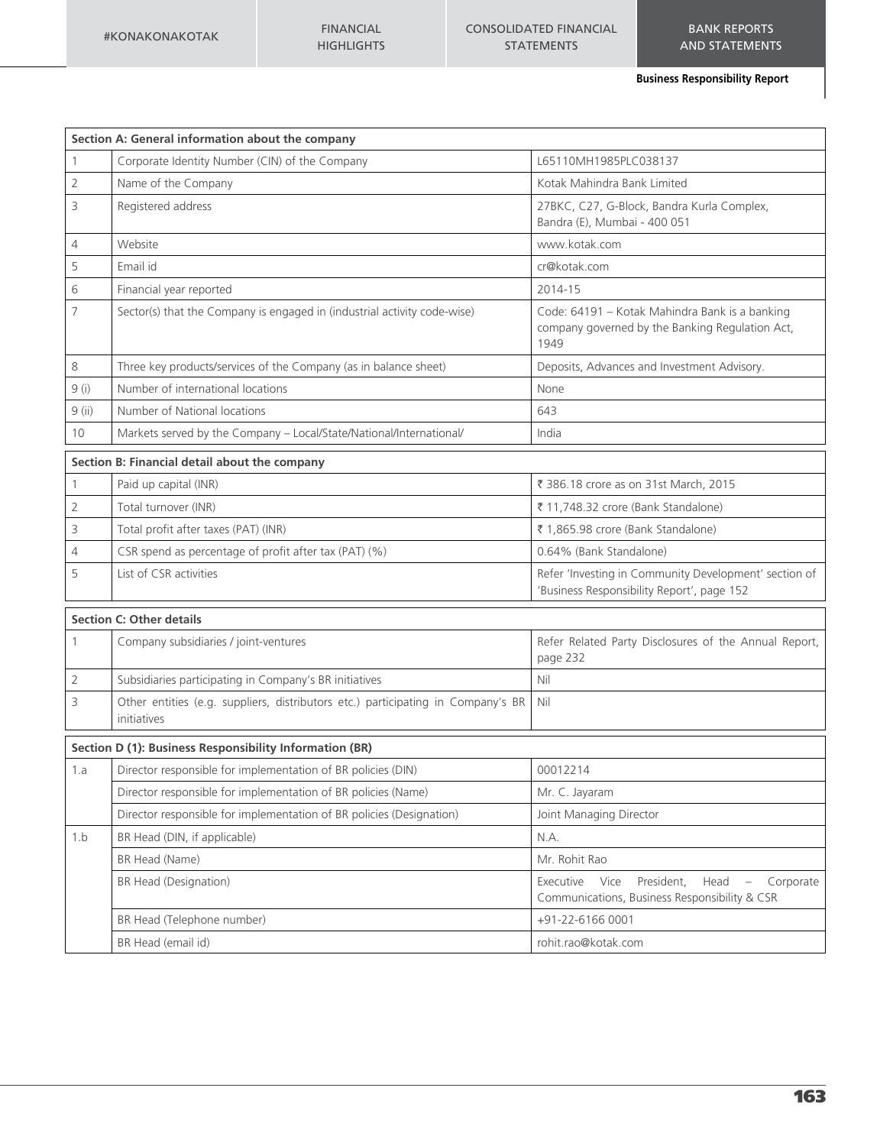|                                                         | Section A: General information about the company                                                |                                                                                                                                   |  |  |  |  |
|---------------------------------------------------------|-------------------------------------------------------------------------------------------------|-----------------------------------------------------------------------------------------------------------------------------------|--|--|--|--|
| $\mathbf{1}$                                            | Corporate Identity Number (CIN) of the Company                                                  | L65110MH1985PLC038137                                                                                                             |  |  |  |  |
| $\overline{2}$                                          | Name of the Company                                                                             | Kotak Mahindra Bank Limited                                                                                                       |  |  |  |  |
| 3                                                       | Registered address                                                                              | 27BKC, C27, G-Block, Bandra Kurla Complex,<br>Bandra (E), Mumbai - 400 051                                                        |  |  |  |  |
| $\overline{4}$                                          | Website                                                                                         | www.kotak.com                                                                                                                     |  |  |  |  |
| 5                                                       | Email id                                                                                        | cr@kotak.com                                                                                                                      |  |  |  |  |
| 6                                                       | Financial year reported                                                                         | 2014-15                                                                                                                           |  |  |  |  |
| 7                                                       | Sector(s) that the Company is engaged in (industrial activity code-wise)                        | Code: 64191 - Kotak Mahindra Bank is a banking<br>company governed by the Banking Regulation Act,<br>1949                         |  |  |  |  |
| 8                                                       | Three key products/services of the Company (as in balance sheet)                                | Deposits, Advances and Investment Advisory.                                                                                       |  |  |  |  |
| 9(i)                                                    | Number of international locations                                                               | None                                                                                                                              |  |  |  |  |
| $9$ (ii)                                                | Number of National locations                                                                    | 643                                                                                                                               |  |  |  |  |
| 10                                                      | Markets served by the Company - Local/State/National/International/                             | India                                                                                                                             |  |  |  |  |
|                                                         | Section B: Financial detail about the company                                                   |                                                                                                                                   |  |  |  |  |
| $\mathbf{1}$                                            | Paid up capital (INR)                                                                           | ₹ 386.18 crore as on 31st March, 2015                                                                                             |  |  |  |  |
| $\overline{2}$                                          | Total turnover (INR)                                                                            | ₹ 11,748.32 crore (Bank Standalone)                                                                                               |  |  |  |  |
| 3                                                       | Total profit after taxes (PAT) (INR)                                                            | ₹ 1,865.98 crore (Bank Standalone)                                                                                                |  |  |  |  |
| $\overline{4}$                                          | CSR spend as percentage of profit after tax (PAT) (%)                                           | 0.64% (Bank Standalone)                                                                                                           |  |  |  |  |
| 5                                                       | List of CSR activities                                                                          | Refer 'Investing in Community Development' section of<br>'Business Responsibility Report', page 152                               |  |  |  |  |
| <b>Section C: Other details</b>                         |                                                                                                 |                                                                                                                                   |  |  |  |  |
| $\mathbf{1}$                                            | Company subsidiaries / joint-ventures                                                           | Refer Related Party Disclosures of the Annual Report,<br>page 232                                                                 |  |  |  |  |
| $\overline{2}$                                          | Subsidiaries participating in Company's BR initiatives                                          | Nil                                                                                                                               |  |  |  |  |
| 3                                                       | Other entities (e.g. suppliers, distributors etc.) participating in Company's BR<br>initiatives | Nil                                                                                                                               |  |  |  |  |
| Section D (1): Business Responsibility Information (BR) |                                                                                                 |                                                                                                                                   |  |  |  |  |
| 1.a                                                     | Director responsible for implementation of BR policies (DIN)                                    | 00012214                                                                                                                          |  |  |  |  |
|                                                         | Director responsible for implementation of BR policies (Name)                                   | Mr. C. Jayaram                                                                                                                    |  |  |  |  |
|                                                         | Director responsible for implementation of BR policies (Designation)                            | Joint Managing Director                                                                                                           |  |  |  |  |
| 1.b                                                     | BR Head (DIN, if applicable)                                                                    | N.A.                                                                                                                              |  |  |  |  |
|                                                         | BR Head (Name)                                                                                  | Mr. Rohit Rao                                                                                                                     |  |  |  |  |
|                                                         | <b>BR Head (Designation)</b>                                                                    | Vice<br>Executive<br>President,<br>Head<br>Corporate<br>$\overline{\phantom{a}}$<br>Communications, Business Responsibility & CSR |  |  |  |  |
|                                                         | BR Head (Telephone number)                                                                      | +91-22-6166 0001                                                                                                                  |  |  |  |  |
|                                                         | BR Head (email id)                                                                              | rohit.rao@kotak.com                                                                                                               |  |  |  |  |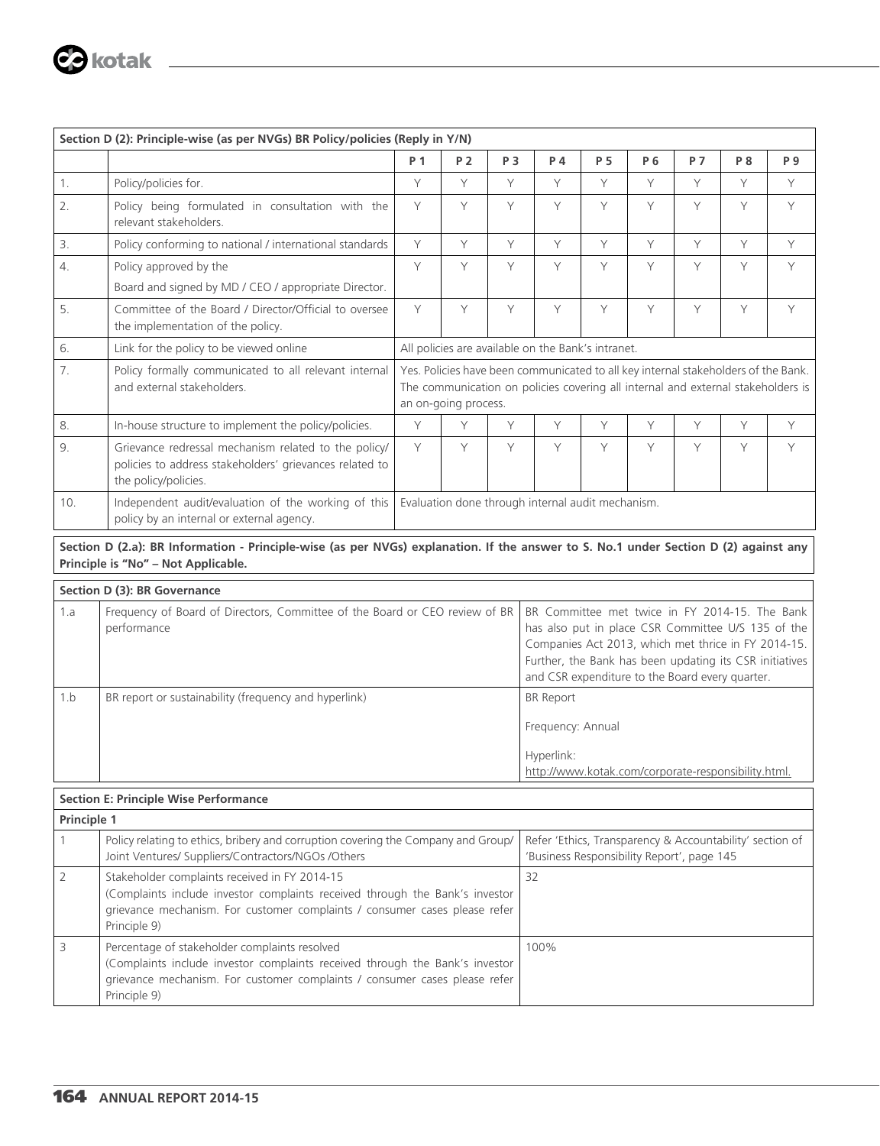

| Section D (2): Principle-wise (as per NVGs) BR Policy/policies (Reply in Y/N)                                                                                               |                                                                                                                                                       |                                                                                                                                                                                                |                |                |                                                                                                                                                                                                                                                                           |                |     |           |     |     |
|-----------------------------------------------------------------------------------------------------------------------------------------------------------------------------|-------------------------------------------------------------------------------------------------------------------------------------------------------|------------------------------------------------------------------------------------------------------------------------------------------------------------------------------------------------|----------------|----------------|---------------------------------------------------------------------------------------------------------------------------------------------------------------------------------------------------------------------------------------------------------------------------|----------------|-----|-----------|-----|-----|
|                                                                                                                                                                             |                                                                                                                                                       | P 1                                                                                                                                                                                            | P <sub>2</sub> | P <sub>3</sub> | P 4                                                                                                                                                                                                                                                                       | P <sub>5</sub> | P 6 | <b>P7</b> | P 8 | P 9 |
| 1.                                                                                                                                                                          | Policy/policies for.                                                                                                                                  | Y                                                                                                                                                                                              | Y              | Y              | Y                                                                                                                                                                                                                                                                         | Y              | Y   | Y         | Y   | Y   |
| 2.                                                                                                                                                                          | Policy being formulated in consultation with the<br>relevant stakeholders.                                                                            | Y                                                                                                                                                                                              | Y              | Υ              | Y                                                                                                                                                                                                                                                                         | Y              | Υ   | Υ         | Y   | Y   |
| 3.                                                                                                                                                                          | Policy conforming to national / international standards                                                                                               | Y                                                                                                                                                                                              | Y              | Y              | Y                                                                                                                                                                                                                                                                         | Y              | Y   | Y         | Y   | Y   |
| 4.                                                                                                                                                                          | Policy approved by the<br>Board and signed by MD / CEO / appropriate Director.                                                                        | Y                                                                                                                                                                                              | Y              | Y              | Y                                                                                                                                                                                                                                                                         | Y              | Y   | Υ         | Y   | Y   |
| 5.                                                                                                                                                                          | Committee of the Board / Director/Official to oversee<br>the implementation of the policy.                                                            | Y                                                                                                                                                                                              | Y              | Y              | Y                                                                                                                                                                                                                                                                         | Y              | Y   | Y         | Y   | Y   |
| 6.                                                                                                                                                                          | Link for the policy to be viewed online                                                                                                               | All policies are available on the Bank's intranet.                                                                                                                                             |                |                |                                                                                                                                                                                                                                                                           |                |     |           |     |     |
| 7.                                                                                                                                                                          | Policy formally communicated to all relevant internal<br>and external stakeholders.                                                                   | Yes. Policies have been communicated to all key internal stakeholders of the Bank.<br>The communication on policies covering all internal and external stakeholders is<br>an on-going process. |                |                |                                                                                                                                                                                                                                                                           |                |     |           |     |     |
| 8.                                                                                                                                                                          | In-house structure to implement the policy/policies.                                                                                                  | Y                                                                                                                                                                                              | Y              | Y              | Y                                                                                                                                                                                                                                                                         | Y              | Y   | Y         | Y   | Y   |
| 9.                                                                                                                                                                          | Grievance redressal mechanism related to the policy/<br>policies to address stakeholders' grievances related to<br>the policy/policies.               | Y                                                                                                                                                                                              | Y              | Υ              | Y                                                                                                                                                                                                                                                                         | Y              | Y   | Y         | Y   | Y   |
| 10.                                                                                                                                                                         | Independent audit/evaluation of the working of this<br>Evaluation done through internal audit mechanism.<br>policy by an internal or external agency. |                                                                                                                                                                                                |                |                |                                                                                                                                                                                                                                                                           |                |     |           |     |     |
| Section D (2.a): BR Information - Principle-wise (as per NVGs) explanation. If the answer to S. No.1 under Section D (2) against any<br>Principle is "No" - Not Applicable. |                                                                                                                                                       |                                                                                                                                                                                                |                |                |                                                                                                                                                                                                                                                                           |                |     |           |     |     |
| Section D (3): BR Governance                                                                                                                                                |                                                                                                                                                       |                                                                                                                                                                                                |                |                |                                                                                                                                                                                                                                                                           |                |     |           |     |     |
| 1.a                                                                                                                                                                         | Frequency of Board of Directors, Committee of the Board or CEO review of BR<br>performance                                                            |                                                                                                                                                                                                |                |                | BR Committee met twice in FY 2014-15. The Bank<br>has also put in place CSR Committee U/S 135 of the<br>Companies Act 2013, which met thrice in FY 2014-15.<br>Further, the Bank has been updating its CSR initiatives<br>and CSR expenditure to the Board every quarter. |                |     |           |     |     |

| 1.a         | Frequency of Board of Directors, Committee of the Board or CEO review of BR<br>performance                                                                                                                                  | BR Committee met twice in FY 2014-15. The Bank<br>has also put in place CSR Committee U/S 135 of the<br>Companies Act 2013, which met thrice in FY 2014-15.<br>Further, the Bank has been updating its CSR initiatives<br>and CSR expenditure to the Board every quarter. |  |  |  |  |
|-------------|-----------------------------------------------------------------------------------------------------------------------------------------------------------------------------------------------------------------------------|---------------------------------------------------------------------------------------------------------------------------------------------------------------------------------------------------------------------------------------------------------------------------|--|--|--|--|
| 1.b         | BR report or sustainability (frequency and hyperlink)                                                                                                                                                                       | <b>BR Report</b><br>Frequency: Annual<br>Hyperlink:<br>http://www.kotak.com/corporate-responsibility.html.                                                                                                                                                                |  |  |  |  |
|             | <b>Section E: Principle Wise Performance</b>                                                                                                                                                                                |                                                                                                                                                                                                                                                                           |  |  |  |  |
| Principle 1 |                                                                                                                                                                                                                             |                                                                                                                                                                                                                                                                           |  |  |  |  |
|             | Policy relating to ethics, bribery and corruption covering the Company and Group/<br>Joint Ventures/ Suppliers/Contractors/NGOs /Others                                                                                     | Refer 'Ethics, Transparency & Accountability' section of<br>'Business Responsibility Report', page 145                                                                                                                                                                    |  |  |  |  |
| 2           | Stakeholder complaints received in FY 2014-15<br>(Complaints include investor complaints received through the Bank's investor<br>grievance mechanism. For customer complaints / consumer cases please refer<br>Principle 9) | 32                                                                                                                                                                                                                                                                        |  |  |  |  |
| 3           | Percentage of stakeholder complaints resolved<br>(Complaints include investor complaints received through the Bank's investor<br>grievance mechanism. For customer complaints / consumer cases please refer<br>Principle 9) | 100%                                                                                                                                                                                                                                                                      |  |  |  |  |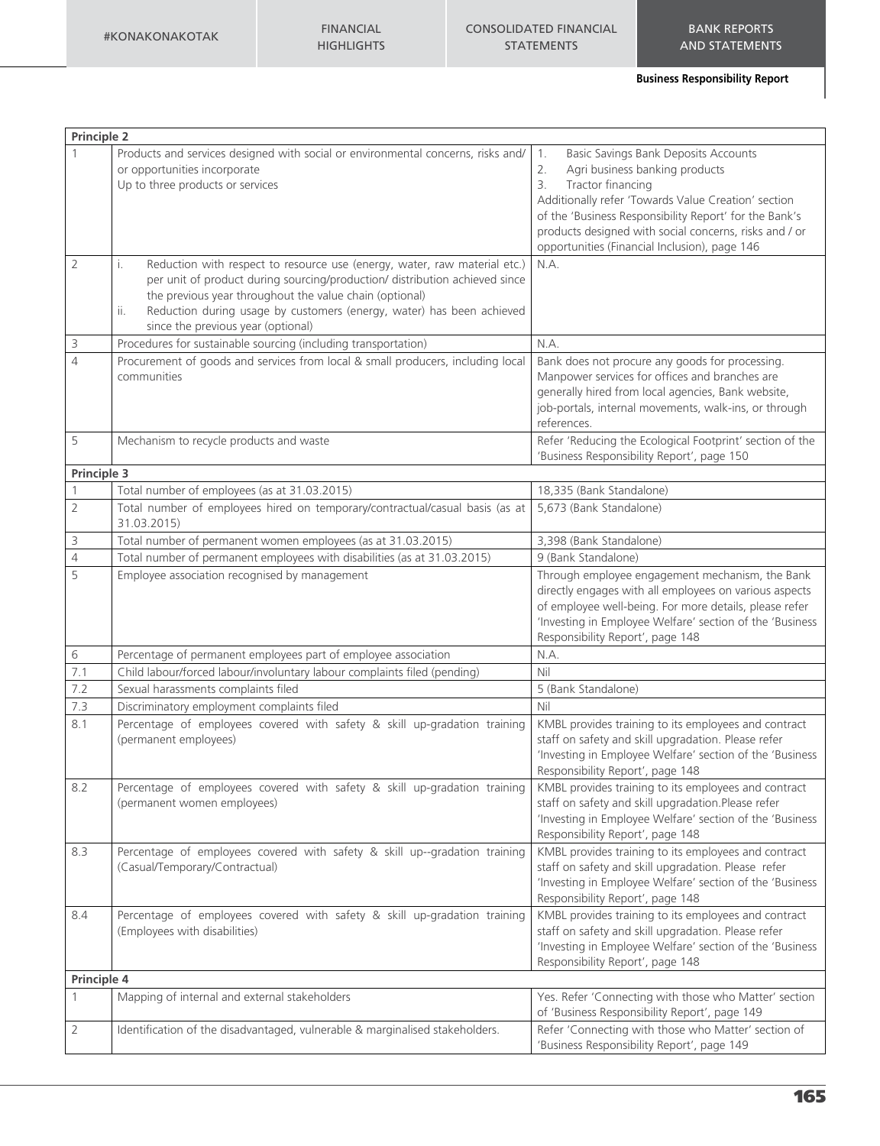| <b>Principle 2</b> |                                                                                                                                                                                                                                                                                                                                                 |                                                                                                                                                                                                                                                                                                                                           |
|--------------------|-------------------------------------------------------------------------------------------------------------------------------------------------------------------------------------------------------------------------------------------------------------------------------------------------------------------------------------------------|-------------------------------------------------------------------------------------------------------------------------------------------------------------------------------------------------------------------------------------------------------------------------------------------------------------------------------------------|
|                    | Products and services designed with social or environmental concerns, risks and/<br>or opportunities incorporate<br>Up to three products or services                                                                                                                                                                                            | Basic Savings Bank Deposits Accounts<br>1.<br>2.<br>Agri business banking products<br>Tractor financing<br>3.<br>Additionally refer 'Towards Value Creation' section<br>of the 'Business Responsibility Report' for the Bank's<br>products designed with social concerns, risks and / or<br>opportunities (Financial Inclusion), page 146 |
| $\overline{2}$     | Reduction with respect to resource use (energy, water, raw material etc.)<br>i.<br>per unit of product during sourcing/production/ distribution achieved since<br>the previous year throughout the value chain (optional)<br>Reduction during usage by customers (energy, water) has been achieved<br>ii.<br>since the previous year (optional) | N.A.                                                                                                                                                                                                                                                                                                                                      |
| 3                  | Procedures for sustainable sourcing (including transportation)                                                                                                                                                                                                                                                                                  | N.A.                                                                                                                                                                                                                                                                                                                                      |
| $\overline{4}$     | Procurement of goods and services from local & small producers, including local<br>communities                                                                                                                                                                                                                                                  | Bank does not procure any goods for processing.<br>Manpower services for offices and branches are<br>generally hired from local agencies, Bank website,<br>job-portals, internal movements, walk-ins, or through<br>references.                                                                                                           |
| 5                  | Mechanism to recycle products and waste                                                                                                                                                                                                                                                                                                         | Refer 'Reducing the Ecological Footprint' section of the<br>'Business Responsibility Report', page 150                                                                                                                                                                                                                                    |
| Principle 3        |                                                                                                                                                                                                                                                                                                                                                 |                                                                                                                                                                                                                                                                                                                                           |
|                    | Total number of employees (as at 31.03.2015)                                                                                                                                                                                                                                                                                                    | 18,335 (Bank Standalone)                                                                                                                                                                                                                                                                                                                  |
| $\overline{2}$     | Total number of employees hired on temporary/contractual/casual basis (as at<br>31.03.2015)                                                                                                                                                                                                                                                     | 5,673 (Bank Standalone)                                                                                                                                                                                                                                                                                                                   |
| 3                  | Total number of permanent women employees (as at 31.03.2015)                                                                                                                                                                                                                                                                                    | 3.398 (Bank Standalone)                                                                                                                                                                                                                                                                                                                   |
| $\sqrt{4}$         | Total number of permanent employees with disabilities (as at 31.03.2015)                                                                                                                                                                                                                                                                        | 9 (Bank Standalone)                                                                                                                                                                                                                                                                                                                       |
| 5                  | Employee association recognised by management                                                                                                                                                                                                                                                                                                   | Through employee engagement mechanism, the Bank<br>directly engages with all employees on various aspects<br>of employee well-being. For more details, please refer<br>'Investing in Employee Welfare' section of the 'Business<br>Responsibility Report', page 148                                                                       |
| 6                  | Percentage of permanent employees part of employee association                                                                                                                                                                                                                                                                                  | N.A.                                                                                                                                                                                                                                                                                                                                      |
| 7.1                | Child labour/forced labour/involuntary labour complaints filed (pending)                                                                                                                                                                                                                                                                        | Nil                                                                                                                                                                                                                                                                                                                                       |
| 7.2                | Sexual harassments complaints filed                                                                                                                                                                                                                                                                                                             | 5 (Bank Standalone)                                                                                                                                                                                                                                                                                                                       |
| 7.3                | Discriminatory employment complaints filed                                                                                                                                                                                                                                                                                                      | Nil                                                                                                                                                                                                                                                                                                                                       |
| 8.1                | Percentage of employees covered with safety & skill up-gradation training<br>(permanent employees)                                                                                                                                                                                                                                              | KMBL provides training to its employees and contract<br>staff on safety and skill upgradation. Please refer<br>'Investing in Employee Welfare' section of the 'Business'<br>Responsibility Report', page 148                                                                                                                              |
| 8.2                | Percentage of employees covered with safety & skill up-gradation training<br>(permanent women employees)                                                                                                                                                                                                                                        | KMBL provides training to its employees and contract<br>staff on safety and skill upgradation.Please refer<br>'Investing in Employee Welfare' section of the 'Business'<br>Responsibility Report', page 148                                                                                                                               |
| 8.3                | Percentage of employees covered with safety & skill up--gradation training<br>(Casual/Temporary/Contractual)                                                                                                                                                                                                                                    | KMBL provides training to its employees and contract<br>staff on safety and skill upgradation. Please refer<br>'Investing in Employee Welfare' section of the 'Business'<br>Responsibility Report', page 148                                                                                                                              |
| 8.4                | Percentage of employees covered with safety & skill up-gradation training<br>(Employees with disabilities)                                                                                                                                                                                                                                      | KMBL provides training to its employees and contract<br>staff on safety and skill upgradation. Please refer<br>'Investing in Employee Welfare' section of the 'Business<br>Responsibility Report', page 148                                                                                                                               |
| Principle 4        |                                                                                                                                                                                                                                                                                                                                                 |                                                                                                                                                                                                                                                                                                                                           |
| 1                  | Mapping of internal and external stakeholders                                                                                                                                                                                                                                                                                                   | Yes. Refer 'Connecting with those who Matter' section<br>of 'Business Responsibility Report', page 149                                                                                                                                                                                                                                    |
| 2                  | Identification of the disadvantaged, vulnerable & marginalised stakeholders.                                                                                                                                                                                                                                                                    | Refer 'Connecting with those who Matter' section of<br>'Business Responsibility Report', page 149                                                                                                                                                                                                                                         |